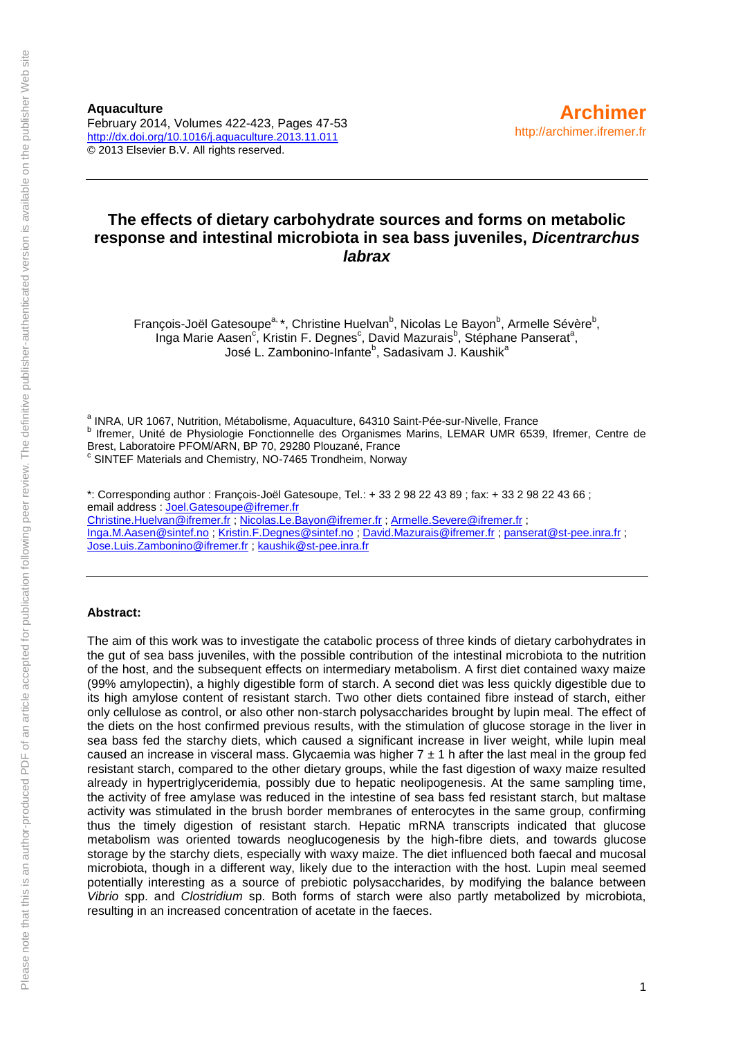### **The effects of dietary carbohydrate sources and forms on metabolic response and intestinal microbiota in sea bass juveniles,** *Dicentrarchus labrax*

François-Joël Gatesoupe<sup>a,</sup> \*, Christine Huelvan<sup>b</sup>, Nicolas Le Bayon<sup>b</sup>, Armelle Sévère<sup>b</sup>, Inga Marie Aasen<sup>c</sup>, Kristin F. Degnes<sup>c</sup>, David Mazurais<sup>b</sup>, Stéphane Panserat<sup>a</sup>, José L. Zambonino-Infante<sup>b</sup>, Sadasivam J. Kaushik<sup>a</sup>

<sup>a</sup> INRA, UR 1067, Nutrition, Métabolisme, Aquaculture, 64310 Saint-Pée-sur-Nivelle, France <sup>b</sup> Ifremer, Unité de Physiologie Fonctionnelle des Organismes Marins, LEMAR UMR 6539, Ifremer, Centre de Brest, Laboratoire PFOM/ARN, BP 70, 29280 Plouzané, France <sup>c</sup> SINTEF Materials and Chemistry, NO-7465 Trondheim, Norway

\*: Corresponding author : François-Joël Gatesoupe, Tel.: + 33 2 98 22 43 89 ; fax: + 33 2 98 22 43 66 ; email address : [Joel.Gatesoupe@ifremer.fr](mailto:Joel.Gatesoupe@ifremer.fr) [Christine.Huelvan@ifremer.fr](mailto:Christine.Huelvan@ifremer.fr) [; Nicolas.Le.Bayon@ifremer.fr](mailto:Nicolas.Le.Bayon@ifremer.fr) ; [Armelle.Severe@ifremer.fr](mailto:Armelle.Severe@ifremer.fr) ; [Inga.M.Aasen@sintef.no](mailto:Inga.M.Aasen@sintef.no) ; [Kristin.F.Degnes@sintef.no](mailto:Kristin.F.Degnes@sintef.no) ; [David.Mazurais@ifremer.fr](mailto:David.Mazurais@ifremer.fr) ; [panserat@st-pee.inra.fr](mailto:panserat@st-pee.inra.fr) ; [Jose.Luis.Zambonino@ifremer.fr](mailto:Jose.Luis.Zambonino@ifremer.fr) ; [kaushik@st-pee.inra.fr](mailto:kaushik@st-pee.inra.fr)

#### **Abstract:**

The aim of this work was to investigate the catabolic process of three kinds of dietary carbohydrates in the gut of sea bass juveniles, with the possible contribution of the intestinal microbiota to the nutrition of the host, and the subsequent effects on intermediary metabolism. A first diet contained waxy maize (99% amylopectin), a highly digestible form of starch. A second diet was less quickly digestible due to its high amylose content of resistant starch. Two other diets contained fibre instead of starch, either only cellulose as control, or also other non-starch polysaccharides brought by lupin meal. The effect of the diets on the host confirmed previous results, with the stimulation of glucose storage in the liver in sea bass fed the starchy diets, which caused a significant increase in liver weight, while lupin meal caused an increase in visceral mass. Glycaemia was higher  $7 \pm 1$  h after the last meal in the group fed resistant starch, compared to the other dietary groups, while the fast digestion of waxy maize resulted already in hypertriglyceridemia, possibly due to hepatic neolipogenesis. At the same sampling time, the activity of free amylase was reduced in the intestine of sea bass fed resistant starch, but maltase activity was stimulated in the brush border membranes of enterocytes in the same group, confirming thus the timely digestion of resistant starch. Hepatic mRNA transcripts indicated that glucose metabolism was oriented towards neoglucogenesis by the high-fibre diets, and towards glucose storage by the starchy diets, especially with waxy maize. The diet influenced both faecal and mucosal microbiota, though in a different way, likely due to the interaction with the host. Lupin meal seemed potentially interesting as a source of prebiotic polysaccharides, by modifying the balance between *Vibrio* spp. and *Clostridium* sp. Both forms of starch were also partly metabolized by microbiota, resulting in an increased concentration of acetate in the faeces.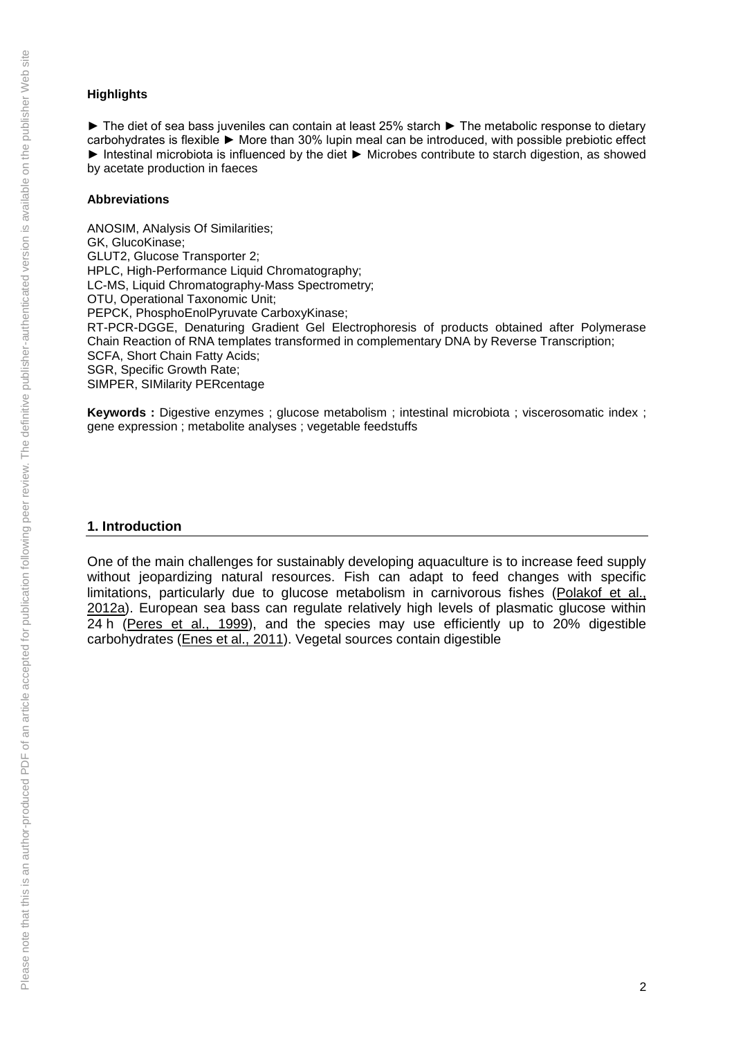### **Highlights**

► The diet of sea bass juveniles can contain at least 25% starch ► The metabolic response to dietary carbohydrates is flexible ► More than 30% lupin meal can be introduced, with possible prebiotic effect ► Intestinal microbiota is influenced by the diet ► Microbes contribute to starch digestion, as showed by acetate production in faeces

#### **Abbreviations**

ANOSIM, ANalysis Of Similarities; GK, GlucoKinase; GLUT2, Glucose Transporter 2; HPLC, High-Performance Liquid Chromatography; LC-MS, Liquid Chromatography-Mass Spectrometry; OTU, Operational Taxonomic Unit; PEPCK, PhosphoEnolPyruvate CarboxyKinase; RT-PCR-DGGE, Denaturing Gradient Gel Electrophoresis of products obtained after Polymerase Chain Reaction of RNA templates transformed in complementary DNA by Reverse Transcription; SCFA, Short Chain Fatty Acids; SGR, Specific Growth Rate; SIMPER, SIMilarity PERcentage

Kevwords : Digestive enzymes : glucose metabolism ; intestinal microbiota ; viscerosomatic index ; gene expression ; metabolite analyses ; vegetable feedstuffs

### **1. Introduction**

One of the main challenges for sustainably developing aquaculture is to increase feed supply without jeopardizing natural resources. Fish can adapt to feed changes with specific limitations, particularly due to glucose metabolism in carnivorous fishes [\(Polakof et al.,](http://www.sciencedirect.com/science/article/pii/S0044848613006042#bb0195)  [2012a\)](http://www.sciencedirect.com/science/article/pii/S0044848613006042#bb0195). European sea bass can regulate relatively high levels of plasmatic glucose within 24 h [\(Peres et al., 1999\)](http://www.sciencedirect.com/science/article/pii/S0044848613006042#bb0190), and the species may use efficiently up to 20% digestible carbohydrates [\(Enes et al., 2011\)](http://www.sciencedirect.com/science/article/pii/S0044848613006042#bb0070). Vegetal sources contain digestible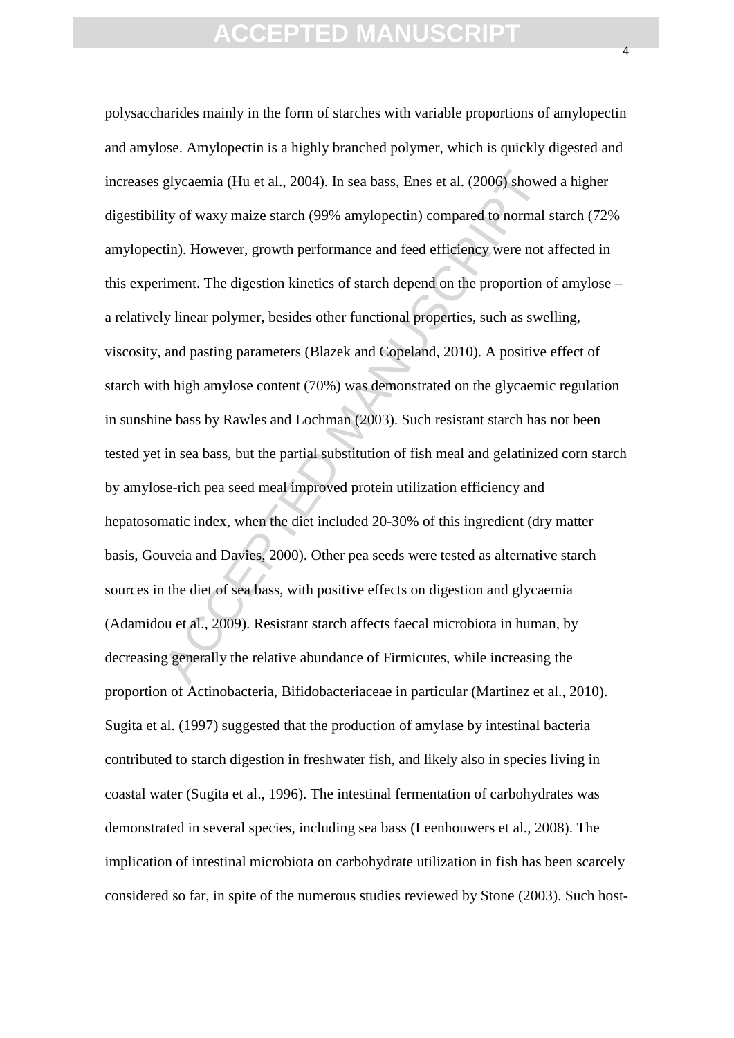glycaemia (Hu et al., 2004). In sea bass, Enes et al. (2006) shower<br>ity of waxy maize starch (99% amylopectin) compared to normal  $\sinh$ . However, growth performance and feed efficiency were not  $\sinh$ . However, growth perfo polysaccharides mainly in the form of starches with variable proportions of amylopectin and amylose. Amylopectin is a highly branched polymer, which is quickly digested and increases glycaemia (Hu et al., 2004). In sea bass, Enes et al. (2006) showed a higher digestibility of waxy maize starch (99% amylopectin) compared to normal starch (72% amylopectin). However, growth performance and feed efficiency were not affected in this experiment. The digestion kinetics of starch depend on the proportion of amylose – a relatively linear polymer, besides other functional properties, such as swelling, viscosity, and pasting parameters (Blazek and Copeland, 2010). A positive effect of starch with high amylose content (70%) was demonstrated on the glycaemic regulation in sunshine bass by Rawles and Lochman (2003). Such resistant starch has not been tested yet in sea bass, but the partial substitution of fish meal and gelatinized corn starch by amylose-rich pea seed meal improved protein utilization efficiency and hepatosomatic index, when the diet included 20-30% of this ingredient (dry matter basis, Gouveia and Davies, 2000). Other pea seeds were tested as alternative starch sources in the diet of sea bass, with positive effects on digestion and glycaemia (Adamidou et al., 2009). Resistant starch affects faecal microbiota in human, by decreasing generally the relative abundance of Firmicutes, while increasing the proportion of Actinobacteria, Bifidobacteriaceae in particular (Martinez et al., 2010). Sugita et al. (1997) suggested that the production of amylase by intestinal bacteria contributed to starch digestion in freshwater fish, and likely also in species living in coastal water (Sugita et al., 1996). The intestinal fermentation of carbohydrates was demonstrated in several species, including sea bass (Leenhouwers et al., 2008). The implication of intestinal microbiota on carbohydrate utilization in fish has been scarcely considered so far, in spite of the numerous studies reviewed by Stone (2003). Such host-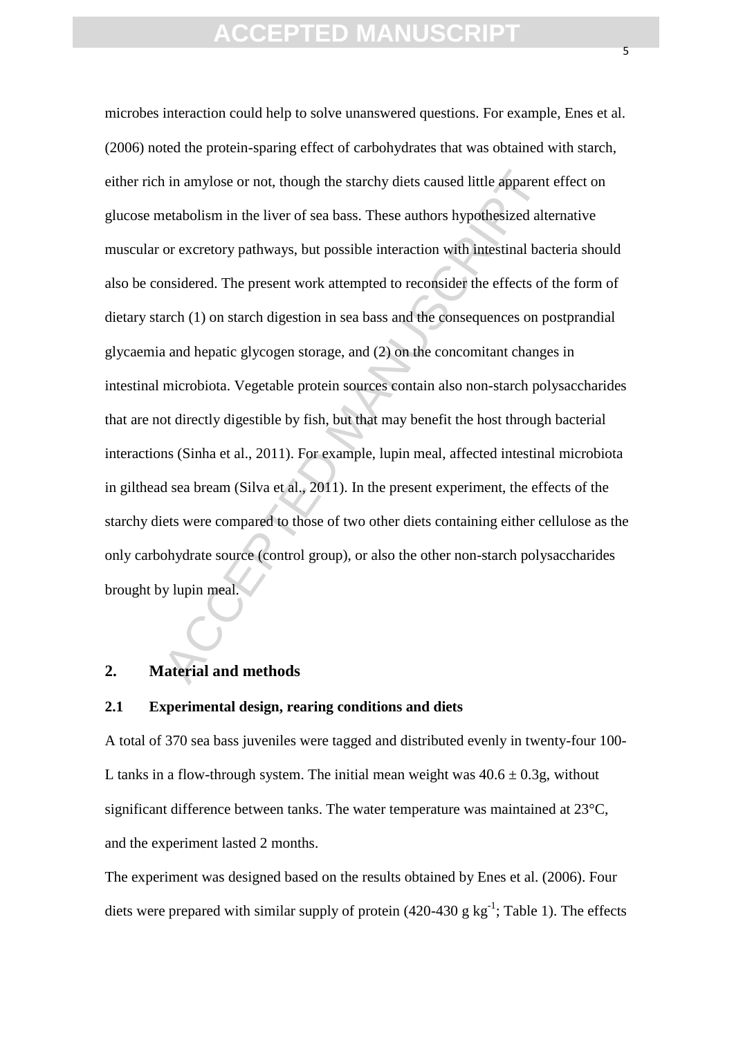is a mylose or not, though the starchy diets caused little apparent<br>netabolism in the liver of sea bass. These authors hypothesized alto<br>or excretory pathways, but possible interaction with intestinal bac<br>onsidered. The pr microbes interaction could help to solve unanswered questions. For example, Enes et al. (2006) noted the protein-sparing effect of carbohydrates that was obtained with starch, either rich in amylose or not, though the starchy diets caused little apparent effect on glucose metabolism in the liver of sea bass. These authors hypothesized alternative muscular or excretory pathways, but possible interaction with intestinal bacteria should also be considered. The present work attempted to reconsider the effects of the form of dietary starch (1) on starch digestion in sea bass and the consequences on postprandial glycaemia and hepatic glycogen storage, and (2) on the concomitant changes in intestinal microbiota. Vegetable protein sources contain also non-starch polysaccharides that are not directly digestible by fish, but that may benefit the host through bacterial interactions (Sinha et al., 2011). For example, lupin meal, affected intestinal microbiota in gilthead sea bream (Silva et al., 2011). In the present experiment, the effects of the starchy diets were compared to those of two other diets containing either cellulose as the only carbohydrate source (control group), or also the other non-starch polysaccharides brought by lupin meal.

### **2. Material and methods**

#### **2.1 Experimental design, rearing conditions and diets**

A total of 370 sea bass juveniles were tagged and distributed evenly in twenty-four 100- L tanks in a flow-through system. The initial mean weight was  $40.6 \pm 0.3$ g, without significant difference between tanks. The water temperature was maintained at 23°C, and the experiment lasted 2 months.

The experiment was designed based on the results obtained by Enes et al. (2006). Four diets were prepared with similar supply of protein  $(420-430 \text{ g kg}^{-1})$ ; Table 1). The effects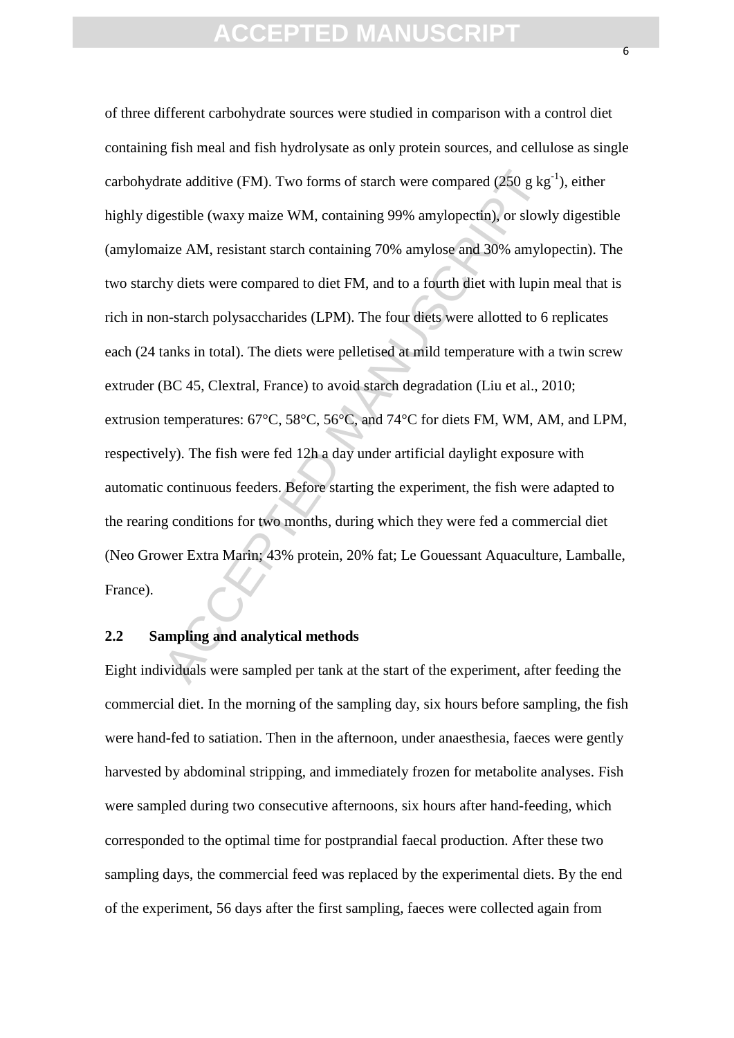rate additive (FM). Two forms of starch were compared (250 g kg<br>gestible (waxy maize WM, containing 99% amylopectin), or slowl<br>aize AM, resistant starch containing 70% amylose and 30% amylo<br>hy diets were compared to diet F of three different carbohydrate sources were studied in comparison with a control diet containing fish meal and fish hydrolysate as only protein sources, and cellulose as single carbohydrate additive (FM). Two forms of starch were compared (250 g  $kg^{-1}$ ), either highly digestible (waxy maize WM, containing 99% amylopectin), or slowly digestible (amylomaize AM, resistant starch containing 70% amylose and 30% amylopectin). The two starchy diets were compared to diet FM, and to a fourth diet with lupin meal that is rich in non-starch polysaccharides (LPM). The four diets were allotted to 6 replicates each (24 tanks in total). The diets were pelletised at mild temperature with a twin screw extruder (BC 45, Clextral, France) to avoid starch degradation (Liu et al., 2010; extrusion temperatures: 67°C, 58°C, 56°C, and 74°C for diets FM, WM, AM, and LPM, respectively). The fish were fed 12h a day under artificial daylight exposure with automatic continuous feeders. Before starting the experiment, the fish were adapted to the rearing conditions for two months, during which they were fed a commercial diet (Neo Grower Extra Marin; 43% protein, 20% fat; Le Gouessant Aquaculture, Lamballe, France).

#### **2.2 Sampling and analytical methods**

Eight individuals were sampled per tank at the start of the experiment, after feeding the commercial diet. In the morning of the sampling day, six hours before sampling, the fish were hand-fed to satiation. Then in the afternoon, under anaesthesia, faeces were gently harvested by abdominal stripping, and immediately frozen for metabolite analyses. Fish were sampled during two consecutive afternoons, six hours after hand-feeding, which corresponded to the optimal time for postprandial faecal production. After these two sampling days, the commercial feed was replaced by the experimental diets. By the end of the experiment, 56 days after the first sampling, faeces were collected again from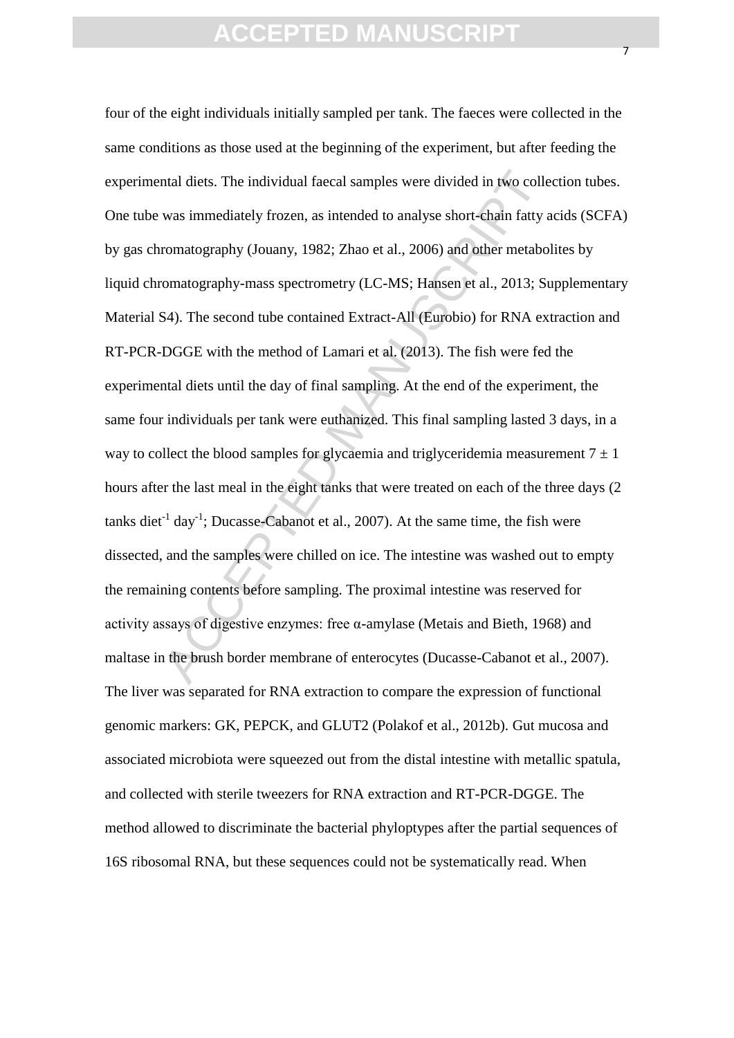ntal diets. The individual faecal samples were divided in two colle<br>was immediately frozen, as intended to analyse short-chain fatty a<br>romatography (Jouany, 1982; Zhao et al., 2006) and other metabo<br>omatography-mass spectr four of the eight individuals initially sampled per tank. The faeces were collected in the same conditions as those used at the beginning of the experiment, but after feeding the experimental diets. The individual faecal samples were divided in two collection tubes. One tube was immediately frozen, as intended to analyse short-chain fatty acids (SCFA) by gas chromatography (Jouany, 1982; Zhao et al., 2006) and other metabolites by liquid chromatography-mass spectrometry (LC-MS; Hansen et al., 2013; Supplementary Material S4). The second tube contained Extract-All (Eurobio) for RNA extraction and RT-PCR-DGGE with the method of Lamari et al. (2013). The fish were fed the experimental diets until the day of final sampling. At the end of the experiment, the same four individuals per tank were euthanized. This final sampling lasted 3 days, in a way to collect the blood samples for glycaemia and triglyceridemia measurement  $7 \pm 1$ hours after the last meal in the eight tanks that were treated on each of the three days (2 tanks diet<sup>-1</sup> day<sup>-1</sup>; Ducasse-Cabanot et al., 2007). At the same time, the fish were dissected, and the samples were chilled on ice. The intestine was washed out to empty the remaining contents before sampling. The proximal intestine was reserved for activity assays of digestive enzymes: free α-amylase (Metais and Bieth, 1968) and maltase in the brush border membrane of enterocytes (Ducasse-Cabanot et al., 2007). The liver was separated for RNA extraction to compare the expression of functional genomic markers: GK, PEPCK, and GLUT2 (Polakof et al., 2012b). Gut mucosa and associated microbiota were squeezed out from the distal intestine with metallic spatula, and collected with sterile tweezers for RNA extraction and RT-PCR-DGGE. The method allowed to discriminate the bacterial phyloptypes after the partial sequences of 16S ribosomal RNA, but these sequences could not be systematically read. When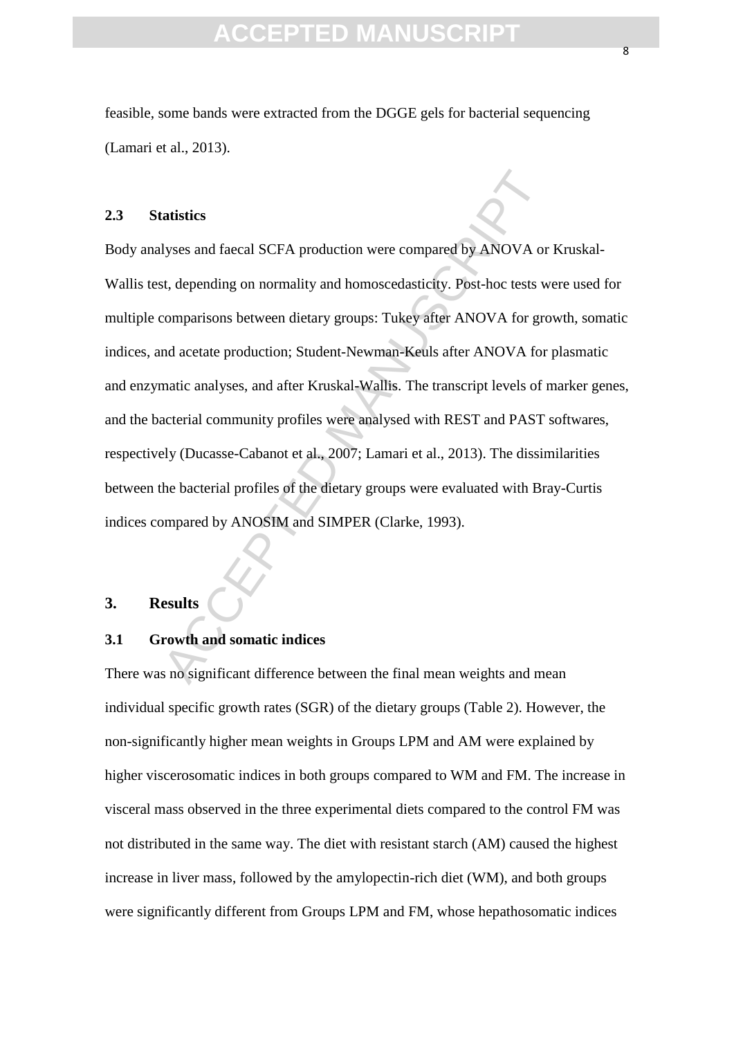feasible, some bands were extracted from the DGGE gels for bacterial sequencing (Lamari et al., 2013).

### **2.3 Statistics**

atistics<br>
Myses and faecal SCFA production were compared by ANOVA or<br>
St, depending on normality and homoscedasticity. Post-hoc tests we<br>
scomparisons between dietary groups: Tukey after ANOVA for grc<br>
accetate production; Body analyses and faecal SCFA production were compared by ANOVA or Kruskal-Wallis test, depending on normality and homoscedasticity. Post-hoc tests were used for multiple comparisons between dietary groups: Tukey after ANOVA for growth, somatic indices, and acetate production; Student-Newman-Keuls after ANOVA for plasmatic and enzymatic analyses, and after Kruskal-Wallis. The transcript levels of marker genes, and the bacterial community profiles were analysed with REST and PAST softwares, respectively (Ducasse-Cabanot et al., 2007; Lamari et al., 2013). The dissimilarities between the bacterial profiles of the dietary groups were evaluated with Bray-Curtis indices compared by ANOSIM and SIMPER (Clarke, 1993).

### **3. Results**

#### **3.1 Growth and somatic indices**

There was no significant difference between the final mean weights and mean individual specific growth rates (SGR) of the dietary groups (Table 2). However, the non-significantly higher mean weights in Groups LPM and AM were explained by higher viscerosomatic indices in both groups compared to WM and FM. The increase in visceral mass observed in the three experimental diets compared to the control FM was not distributed in the same way. The diet with resistant starch (AM) caused the highest increase in liver mass, followed by the amylopectin-rich diet (WM), and both groups were significantly different from Groups LPM and FM, whose hepathosomatic indices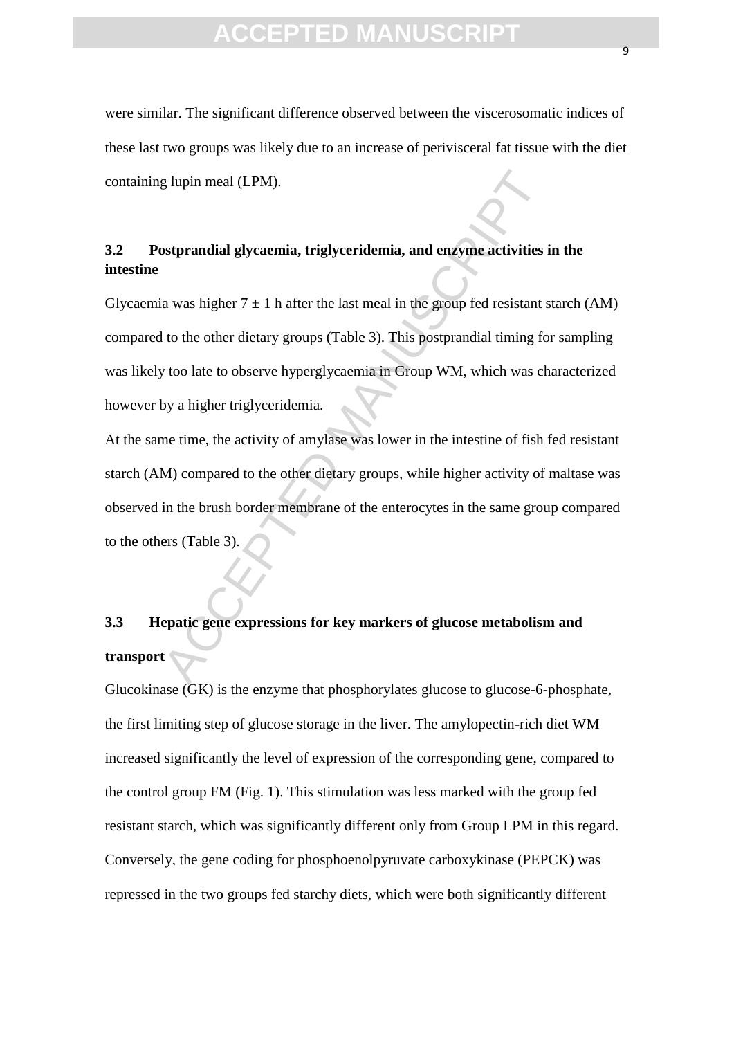were similar. The significant difference observed between the viscerosomatic indices of these last two groups was likely due to an increase of perivisceral fat tissue with the diet containing lupin meal (LPM).

### **3.2 Postprandial glycaemia, triglyceridemia, and enzyme activities in the intestine**

g lupin meal (LPM).<br>
Substramatial glycaemia, triglyceridemia, and enzyme activities is<br>
a was higher  $7 \pm 1$  h after the last meal in the group fed resistant sto<br>
to the other dietary groups (Table 3). This postprandial Glycaemia was higher  $7 \pm 1$  h after the last meal in the group fed resistant starch (AM) compared to the other dietary groups (Table 3). This postprandial timing for sampling was likely too late to observe hyperglycaemia in Group WM, which was characterized however by a higher triglyceridemia.

At the same time, the activity of amylase was lower in the intestine of fish fed resistant starch (AM) compared to the other dietary groups, while higher activity of maltase was observed in the brush border membrane of the enterocytes in the same group compared to the others (Table 3).

# **3.3 Hepatic gene expressions for key markers of glucose metabolism and transport**

Glucokinase (GK) is the enzyme that phosphorylates glucose to glucose-6-phosphate, the first limiting step of glucose storage in the liver. The amylopectin-rich diet WM increased significantly the level of expression of the corresponding gene, compared to the control group FM (Fig. 1). This stimulation was less marked with the group fed resistant starch, which was significantly different only from Group LPM in this regard. Conversely, the gene coding for phosphoenolpyruvate carboxykinase (PEPCK) was repressed in the two groups fed starchy diets, which were both significantly different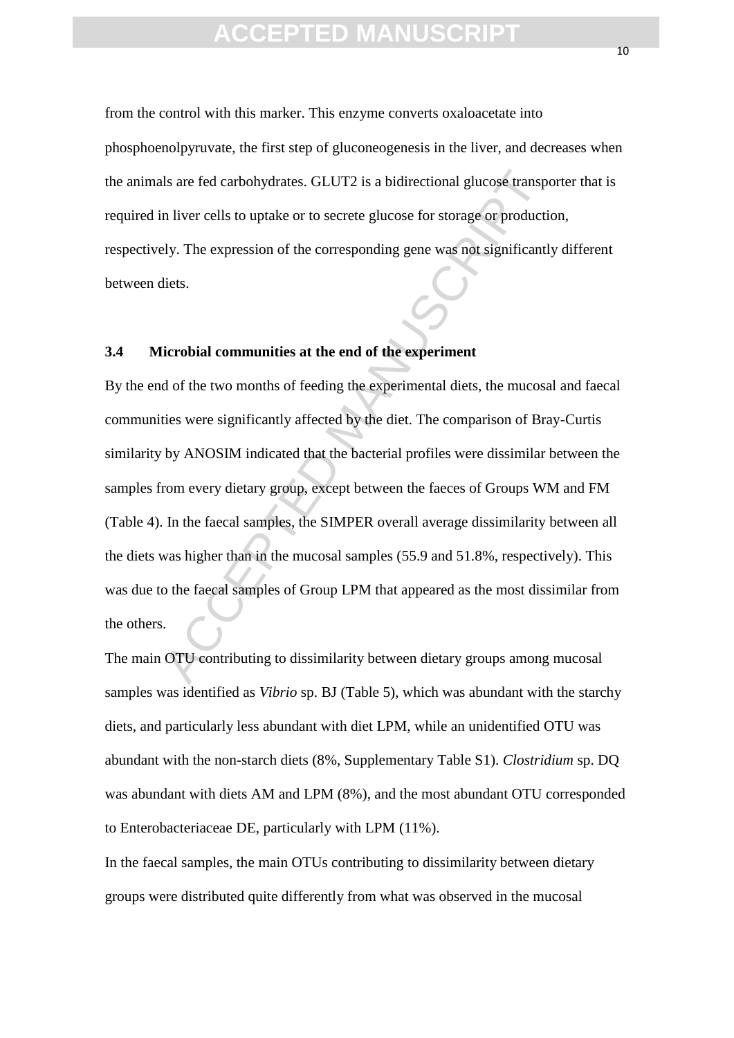from the control with this marker. This enzyme converts oxaloacetate into phosphoenolpyruvate, the first step of gluconeogenesis in the liver, and decreases when the animals are fed carbohydrates. GLUT2 is a bidirectional glucose transporter that is required in liver cells to uptake or to secrete glucose for storage or production, respectively. The expression of the corresponding gene was not significantly different between diets.

### **3.4 Microbial communities at the end of the experiment**

Is are fed carbohydrates. GLUT2 is a bidirectional glucose transport<br>a liver cells to uptake or to secrete glucose for storage or producti<br>ely. The expression of the corresponding gene was not significantl<br>diets.<br><br>**EXECEPT** By the end of the two months of feeding the experimental diets, the mucosal and faecal communities were significantly affected by the diet. The comparison of Bray-Curtis similarity by ANOSIM indicated that the bacterial profiles were dissimilar between the samples from every dietary group, except between the faeces of Groups WM and FM (Table 4). In the faecal samples, the SIMPER overall average dissimilarity between all the diets was higher than in the mucosal samples (55.9 and 51.8%, respectively). This was due to the faecal samples of Group LPM that appeared as the most dissimilar from the others.

The main OTU contributing to dissimilarity between dietary groups among mucosal samples was identified as *Vibrio* sp. BJ (Table 5), which was abundant with the starchy diets, and particularly less abundant with diet LPM, while an unidentified OTU was abundant with the non-starch diets (8%, Supplementary Table S1). *Clostridium* sp. DQ was abundant with diets AM and LPM (8%), and the most abundant OTU corresponded to Enterobacteriaceae DE, particularly with LPM (11%).

In the faecal samples, the main OTUs contributing to dissimilarity between dietary groups were distributed quite differently from what was observed in the mucosal

 $1<sub>0</sub>$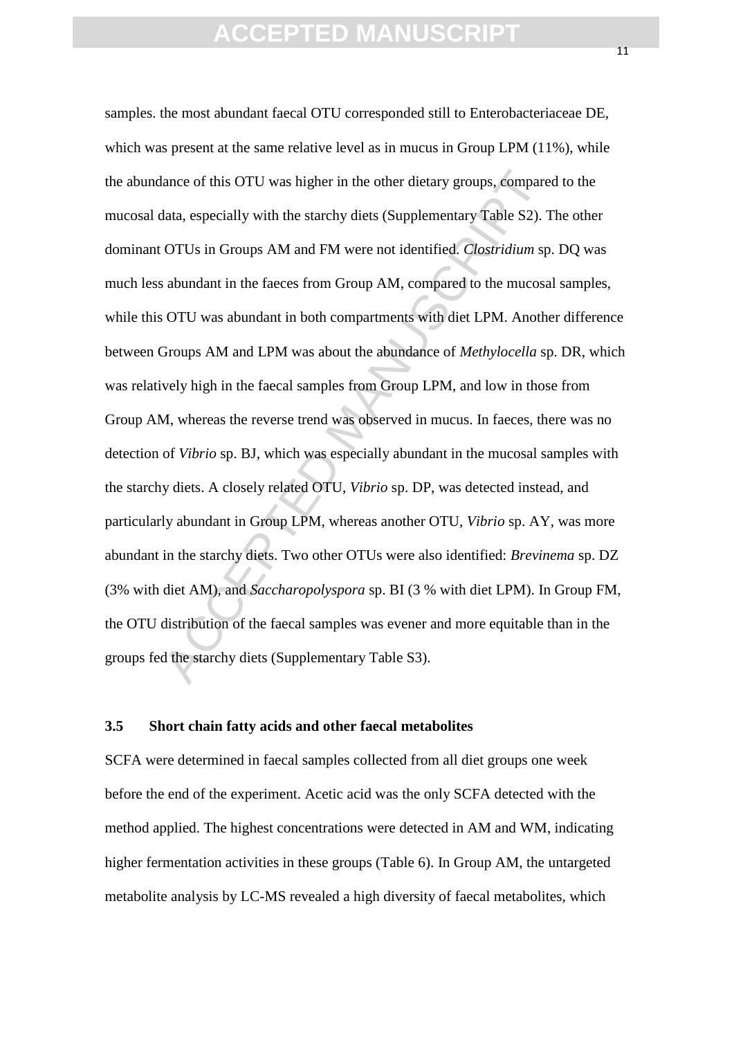lance of this OTU was higher in the other dietary groups, compare<br>lata, especially with the starchy diets (Supplementary Table S2). T<br>OTUs in Groups AM and FM were not identified. *Clostridium* sp<br>abundant in the faeces fr samples. the most abundant faecal OTU corresponded still to Enterobacteriaceae DE, which was present at the same relative level as in mucus in Group LPM (11%), while the abundance of this OTU was higher in the other dietary groups, compared to the mucosal data, especially with the starchy diets (Supplementary Table S2). The other dominant OTUs in Groups AM and FM were not identified. *Clostridium* sp. DQ was much less abundant in the faeces from Group AM, compared to the mucosal samples, while this OTU was abundant in both compartments with diet LPM. Another difference between Groups AM and LPM was about the abundance of *Methylocella* sp. DR, which was relatively high in the faecal samples from Group LPM, and low in those from Group AM, whereas the reverse trend was observed in mucus. In faeces, there was no detection of *Vibrio* sp. BJ, which was especially abundant in the mucosal samples with the starchy diets. A closely related OTU, *Vibrio* sp. DP, was detected instead, and particularly abundant in Group LPM, whereas another OTU, *Vibrio* sp. AY, was more abundant in the starchy diets. Two other OTUs were also identified: *Brevinema* sp. DZ (3% with diet AM), and *Saccharopolyspora* sp. BI (3 % with diet LPM). In Group FM, the OTU distribution of the faecal samples was evener and more equitable than in the groups fed the starchy diets (Supplementary Table S3).

### **3.5 Short chain fatty acids and other faecal metabolites**

SCFA were determined in faecal samples collected from all diet groups one week before the end of the experiment. Acetic acid was the only SCFA detected with the method applied. The highest concentrations were detected in AM and WM, indicating higher fermentation activities in these groups (Table 6). In Group AM, the untargeted metabolite analysis by LC-MS revealed a high diversity of faecal metabolites, which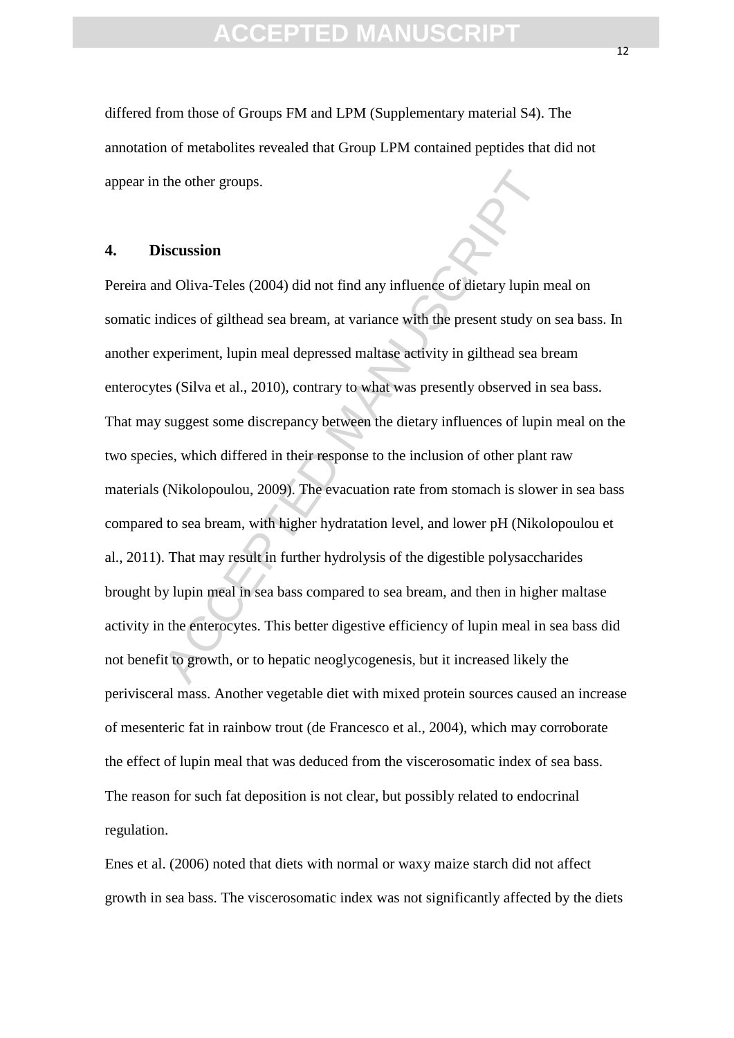differed from those of Groups FM and LPM (Supplementary material S4). The annotation of metabolites revealed that Group LPM contained peptides that did not appear in the other groups.

### **4. Discussion**

the other groups.<br>
iscussion<br>
Ad Oliva-Teles (2004) did not find any influence of dietary lupin n<br>
andices of gilthead sea bream, at variance with the present study on<br>
xperiment, lupin meal depressed maltase aetivity in g Pereira and Oliva-Teles (2004) did not find any influence of dietary lupin meal on somatic indices of gilthead sea bream, at variance with the present study on sea bass. In another experiment, lupin meal depressed maltase activity in gilthead sea bream enterocytes (Silva et al., 2010), contrary to what was presently observed in sea bass. That may suggest some discrepancy between the dietary influences of lupin meal on the two species, which differed in their response to the inclusion of other plant raw materials (Nikolopoulou, 2009). The evacuation rate from stomach is slower in sea bass compared to sea bream, with higher hydratation level, and lower pH (Nikolopoulou et al., 2011). That may result in further hydrolysis of the digestible polysaccharides brought by lupin meal in sea bass compared to sea bream, and then in higher maltase activity in the enterocytes. This better digestive efficiency of lupin meal in sea bass did not benefit to growth, or to hepatic neoglycogenesis, but it increased likely the perivisceral mass. Another vegetable diet with mixed protein sources caused an increase of mesenteric fat in rainbow trout (de Francesco et al., 2004), which may corroborate the effect of lupin meal that was deduced from the viscerosomatic index of sea bass. The reason for such fat deposition is not clear, but possibly related to endocrinal regulation.

Enes et al. (2006) noted that diets with normal or waxy maize starch did not affect growth in sea bass. The viscerosomatic index was not significantly affected by the diets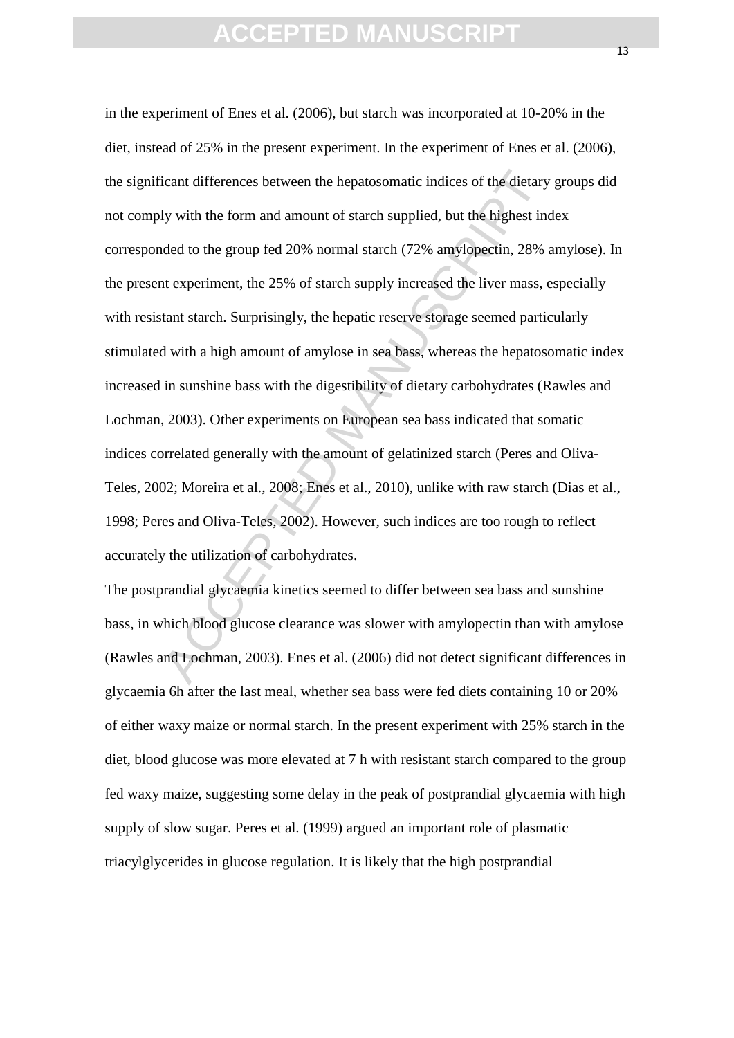icant differences between the hepatosomatic indices of the dietary<br>ly with the form and amount of starch supplied, but the highest inded to the group fed 20% normal starch (72% amylopectin, 28% is<br>t experiment, the 25% of in the experiment of Enes et al. (2006), but starch was incorporated at 10-20% in the diet, instead of 25% in the present experiment. In the experiment of Enes et al. (2006), the significant differences between the hepatosomatic indices of the dietary groups did not comply with the form and amount of starch supplied, but the highest index corresponded to the group fed 20% normal starch (72% amylopectin, 28% amylose). In the present experiment, the 25% of starch supply increased the liver mass, especially with resistant starch. Surprisingly, the hepatic reserve storage seemed particularly stimulated with a high amount of amylose in sea bass, whereas the hepatosomatic index increased in sunshine bass with the digestibility of dietary carbohydrates (Rawles and Lochman, 2003). Other experiments on European sea bass indicated that somatic indices correlated generally with the amount of gelatinized starch (Peres and Oliva-Teles, 2002; Moreira et al., 2008; Enes et al., 2010), unlike with raw starch (Dias et al., 1998; Peres and Oliva-Teles, 2002). However, such indices are too rough to reflect accurately the utilization of carbohydrates.

The postprandial glycaemia kinetics seemed to differ between sea bass and sunshine bass, in which blood glucose clearance was slower with amylopectin than with amylose (Rawles and Lochman, 2003). Enes et al. (2006) did not detect significant differences in glycaemia 6h after the last meal, whether sea bass were fed diets containing 10 or 20% of either waxy maize or normal starch. In the present experiment with 25% starch in the diet, blood glucose was more elevated at 7 h with resistant starch compared to the group fed waxy maize, suggesting some delay in the peak of postprandial glycaemia with high supply of slow sugar. Peres et al. (1999) argued an important role of plasmatic triacylglycerides in glucose regulation. It is likely that the high postprandial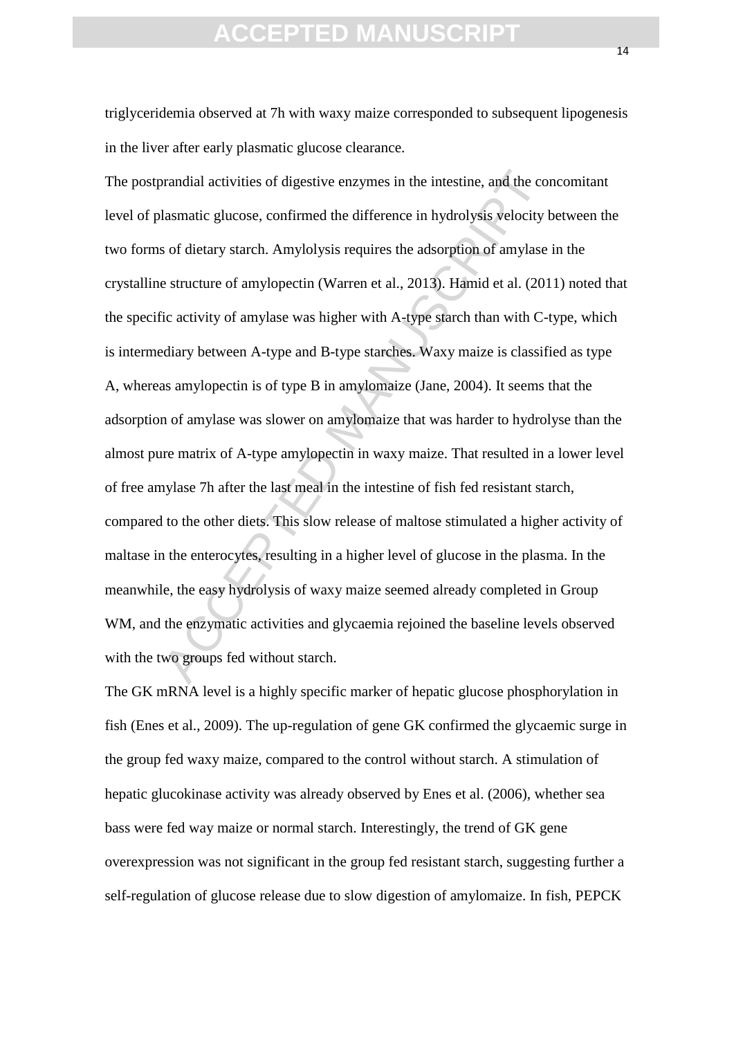triglyceridemia observed at 7h with waxy maize corresponded to subsequent lipogenesis in the liver after early plasmatic glucose clearance.

brandial activities of digestive enzymes in the intestine, and the collasmatic glucose, confirmed the difference in hydrolysis velocity to sof dietary starch. Amylolysis requires the adsorption of amylase estructure of amy The postprandial activities of digestive enzymes in the intestine, and the concomitant level of plasmatic glucose, confirmed the difference in hydrolysis velocity between the two forms of dietary starch. Amylolysis requires the adsorption of amylase in the crystalline structure of amylopectin (Warren et al., 2013). Hamid et al. (2011) noted that the specific activity of amylase was higher with A-type starch than with C-type, which is intermediary between A-type and B-type starches. Waxy maize is classified as type A, whereas amylopectin is of type B in amylomaize (Jane, 2004). It seems that the adsorption of amylase was slower on amylomaize that was harder to hydrolyse than the almost pure matrix of A-type amylopectin in waxy maize. That resulted in a lower level of free amylase 7h after the last meal in the intestine of fish fed resistant starch, compared to the other diets. This slow release of maltose stimulated a higher activity of maltase in the enterocytes, resulting in a higher level of glucose in the plasma. In the meanwhile, the easy hydrolysis of waxy maize seemed already completed in Group WM, and the enzymatic activities and glycaemia rejoined the baseline levels observed with the two groups fed without starch.

The GK mRNA level is a highly specific marker of hepatic glucose phosphorylation in fish (Enes et al., 2009). The up-regulation of gene GK confirmed the glycaemic surge in the group fed waxy maize, compared to the control without starch. A stimulation of hepatic glucokinase activity was already observed by Enes et al. (2006), whether sea bass were fed way maize or normal starch. Interestingly, the trend of GK gene overexpression was not significant in the group fed resistant starch, suggesting further a self-regulation of glucose release due to slow digestion of amylomaize. In fish, PEPCK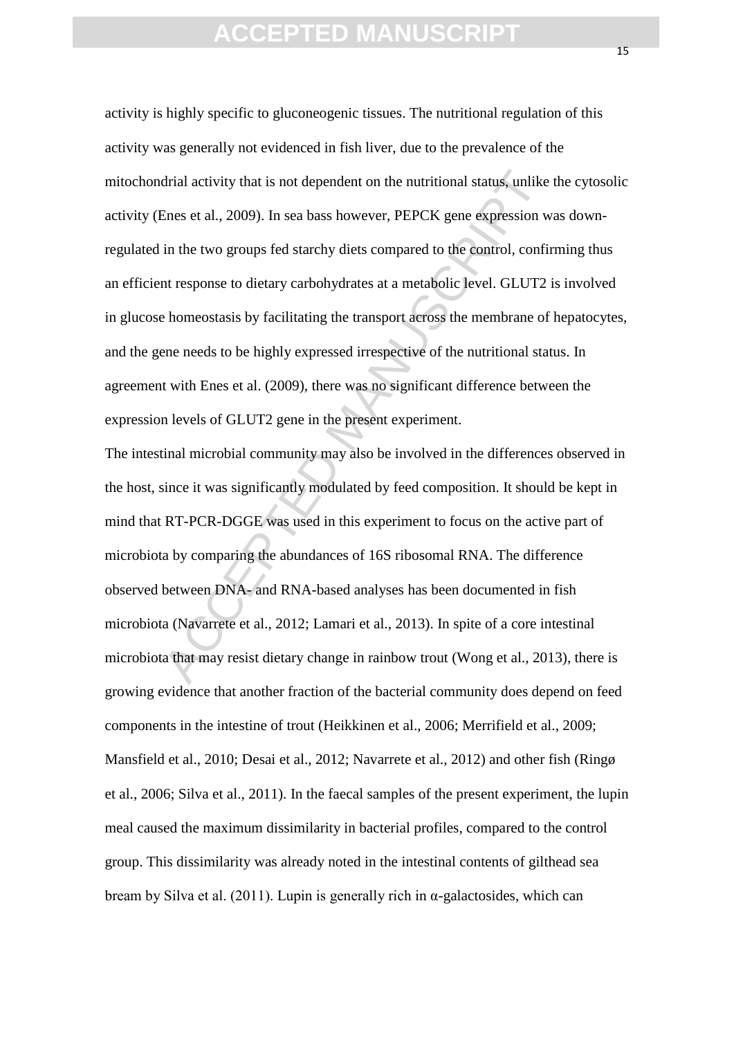drial activity that is not dependent on the nutritional status, unlike<br>Enes et al., 2009). In sea bass however, PEPCK gene expression w<br>in the two groups fed starchy diets compared to the control, confi<br>in tresponse to die activity is highly specific to gluconeogenic tissues. The nutritional regulation of this activity was generally not evidenced in fish liver, due to the prevalence of the mitochondrial activity that is not dependent on the nutritional status, unlike the cytosolic activity (Enes et al., 2009). In sea bass however, PEPCK gene expression was downregulated in the two groups fed starchy diets compared to the control, confirming thus an efficient response to dietary carbohydrates at a metabolic level. GLUT2 is involved in glucose homeostasis by facilitating the transport across the membrane of hepatocytes, and the gene needs to be highly expressed irrespective of the nutritional status. In agreement with Enes et al. (2009), there was no significant difference between the expression levels of GLUT2 gene in the present experiment.

The intestinal microbial community may also be involved in the differences observed in the host, since it was significantly modulated by feed composition. It should be kept in mind that RT-PCR-DGGE was used in this experiment to focus on the active part of microbiota by comparing the abundances of 16S ribosomal RNA. The difference observed between DNA- and RNA-based analyses has been documented in fish microbiota (Navarrete et al., 2012; Lamari et al., 2013). In spite of a core intestinal microbiota that may resist dietary change in rainbow trout (Wong et al., 2013), there is growing evidence that another fraction of the bacterial community does depend on feed components in the intestine of trout (Heikkinen et al., 2006; Merrifield et al., 2009; Mansfield et al., 2010; Desai et al., 2012; Navarrete et al., 2012) and other fish (Ringø et al., 2006; Silva et al., 2011). In the faecal samples of the present experiment, the lupin meal caused the maximum dissimilarity in bacterial profiles, compared to the control group. This dissimilarity was already noted in the intestinal contents of gilthead sea bream by Silva et al. (2011). Lupin is generally rich in  $\alpha$ -galactosides, which can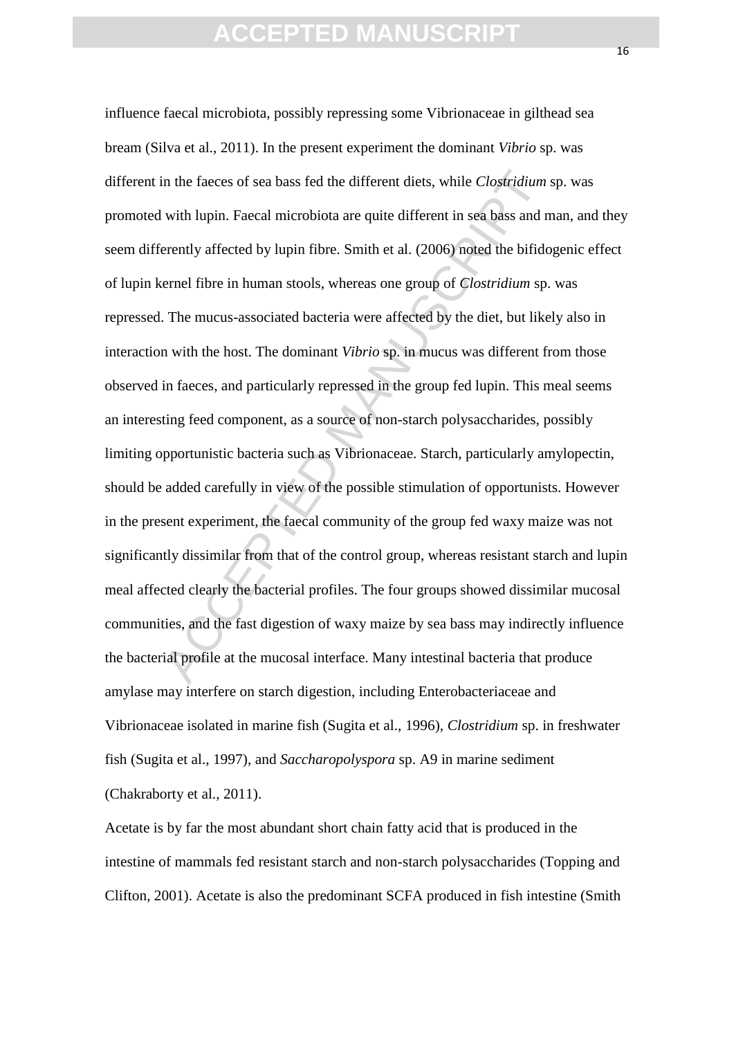in the facees of sea bass fed the different diets, while *Clostridium*<br>with lupin. Faecal microbiota are quite different in sea bass and n<br>erently affected by lupin fibre. Smith et al. (2006) noted the bifide<br>ernel fibre i influence faecal microbiota, possibly repressing some Vibrionaceae in gilthead sea bream (Silva et al., 2011). In the present experiment the dominant *Vibrio* sp. was different in the faeces of sea bass fed the different diets, while *Clostridium* sp. was promoted with lupin. Faecal microbiota are quite different in sea bass and man, and they seem differently affected by lupin fibre. Smith et al. (2006) noted the bifidogenic effect of lupin kernel fibre in human stools, whereas one group of *Clostridium* sp. was repressed. The mucus-associated bacteria were affected by the diet, but likely also in interaction with the host. The dominant *Vibrio* sp. in mucus was different from those observed in faeces, and particularly repressed in the group fed lupin. This meal seems an interesting feed component, as a source of non-starch polysaccharides, possibly limiting opportunistic bacteria such as Vibrionaceae. Starch, particularly amylopectin, should be added carefully in view of the possible stimulation of opportunists. However in the present experiment, the faecal community of the group fed waxy maize was not significantly dissimilar from that of the control group, whereas resistant starch and lupin meal affected clearly the bacterial profiles. The four groups showed dissimilar mucosal communities, and the fast digestion of waxy maize by sea bass may indirectly influence the bacterial profile at the mucosal interface. Many intestinal bacteria that produce amylase may interfere on starch digestion, including Enterobacteriaceae and Vibrionaceae isolated in marine fish (Sugita et al., 1996), *Clostridium* sp. in freshwater fish (Sugita et al., 1997), and *Saccharopolyspora* sp. A9 in marine sediment (Chakraborty et al., 2011).

Acetate is by far the most abundant short chain fatty acid that is produced in the intestine of mammals fed resistant starch and non-starch polysaccharides (Topping and Clifton, 2001). Acetate is also the predominant SCFA produced in fish intestine (Smith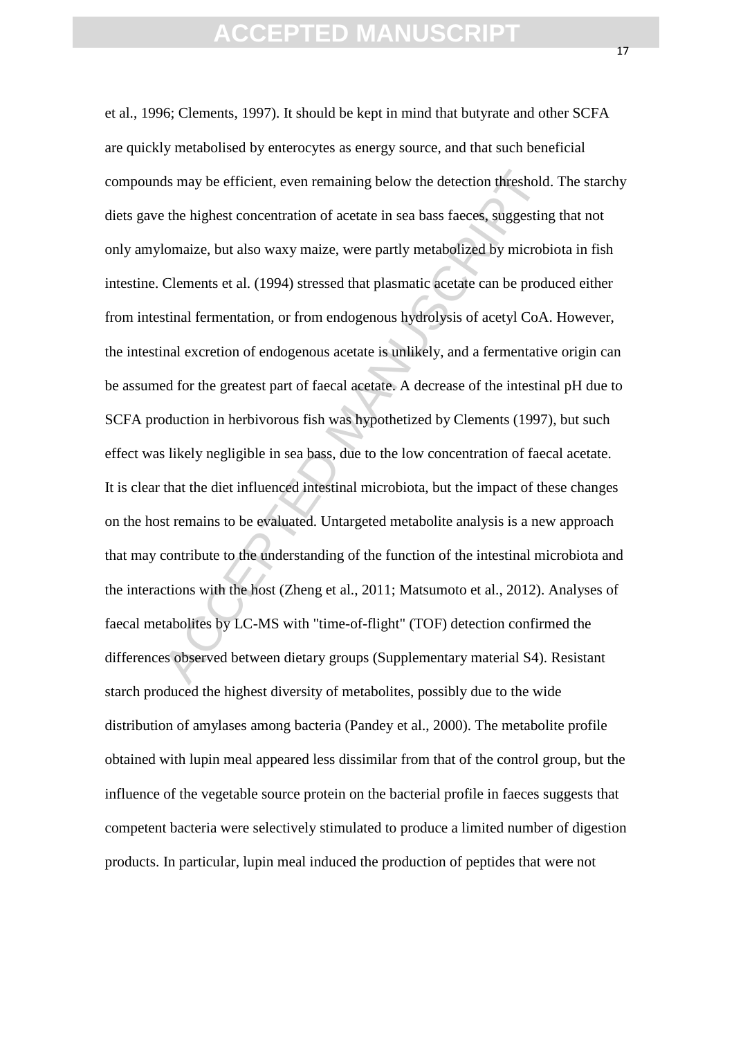ds may be efficient, even remaining below the detection threshold<br>the highest concentration of acetate in sea bass facces, suggesting<br>lomaize, but also waxy maize, were partly metabolized by microb<br>Clements et al. (1994) s et al., 1996; Clements, 1997). It should be kept in mind that butyrate and other SCFA are quickly metabolised by enterocytes as energy source, and that such beneficial compounds may be efficient, even remaining below the detection threshold. The starchy diets gave the highest concentration of acetate in sea bass faeces, suggesting that not only amylomaize, but also waxy maize, were partly metabolized by microbiota in fish intestine. Clements et al. (1994) stressed that plasmatic acetate can be produced either from intestinal fermentation, or from endogenous hydrolysis of acetyl CoA. However, the intestinal excretion of endogenous acetate is unlikely, and a fermentative origin can be assumed for the greatest part of faecal acetate. A decrease of the intestinal pH due to SCFA production in herbivorous fish was hypothetized by Clements (1997), but such effect was likely negligible in sea bass, due to the low concentration of faecal acetate. It is clear that the diet influenced intestinal microbiota, but the impact of these changes on the host remains to be evaluated. Untargeted metabolite analysis is a new approach that may contribute to the understanding of the function of the intestinal microbiota and the interactions with the host (Zheng et al., 2011; Matsumoto et al., 2012). Analyses of faecal metabolites by LC-MS with "time-of-flight" (TOF) detection confirmed the differences observed between dietary groups (Supplementary material S4). Resistant starch produced the highest diversity of metabolites, possibly due to the wide distribution of amylases among bacteria (Pandey et al., 2000). The metabolite profile obtained with lupin meal appeared less dissimilar from that of the control group, but the influence of the vegetable source protein on the bacterial profile in faeces suggests that competent bacteria were selectively stimulated to produce a limited number of digestion products. In particular, lupin meal induced the production of peptides that were not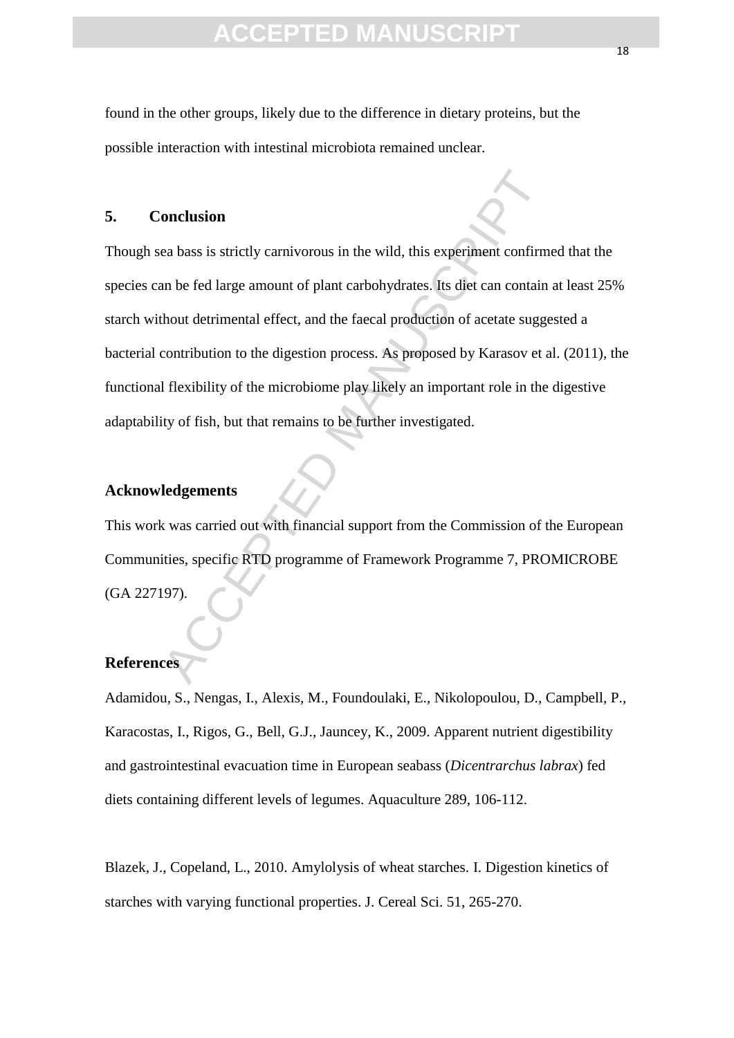### **CEPTED MANUS**

found in the other groups, likely due to the difference in dietary proteins, but the possible interaction with intestinal microbiota remained unclear.

### **5. Conclusion**

onclusion<br>
a bass is strictly carnivorous in the wild, this experiment confirm<br>
an be fed large amount of plant carbohydrates. Its diet can contain<br>
thout detrimental effect, and the faecal production of acetate sugge<br>
con Though sea bass is strictly carnivorous in the wild, this experiment confirmed that the species can be fed large amount of plant carbohydrates. Its diet can contain at least 25% starch without detrimental effect, and the faecal production of acetate suggested a bacterial contribution to the digestion process. As proposed by Karasov et al. (2011), the functional flexibility of the microbiome play likely an important role in the digestive adaptability of fish, but that remains to be further investigated.

### **Acknowledgements**

This work was carried out with financial support from the Commission of the European Communities, specific RTD programme of Framework Programme 7, PROMICROBE (GA 227197).

### **References**

Adamidou, S., Nengas, I., Alexis, M., Foundoulaki, E., Nikolopoulou, D., Campbell, P., Karacostas, I., Rigos, G., Bell, G.J., Jauncey, K., 2009. Apparent nutrient digestibility and gastrointestinal evacuation time in European seabass (*Dicentrarchus labrax*) fed diets containing different levels of legumes. Aquaculture 289, 106-112.

Blazek, J., Copeland, L., 2010. Amylolysis of wheat starches. I. Digestion kinetics of starches with varying functional properties. J. Cereal Sci. 51, 265-270.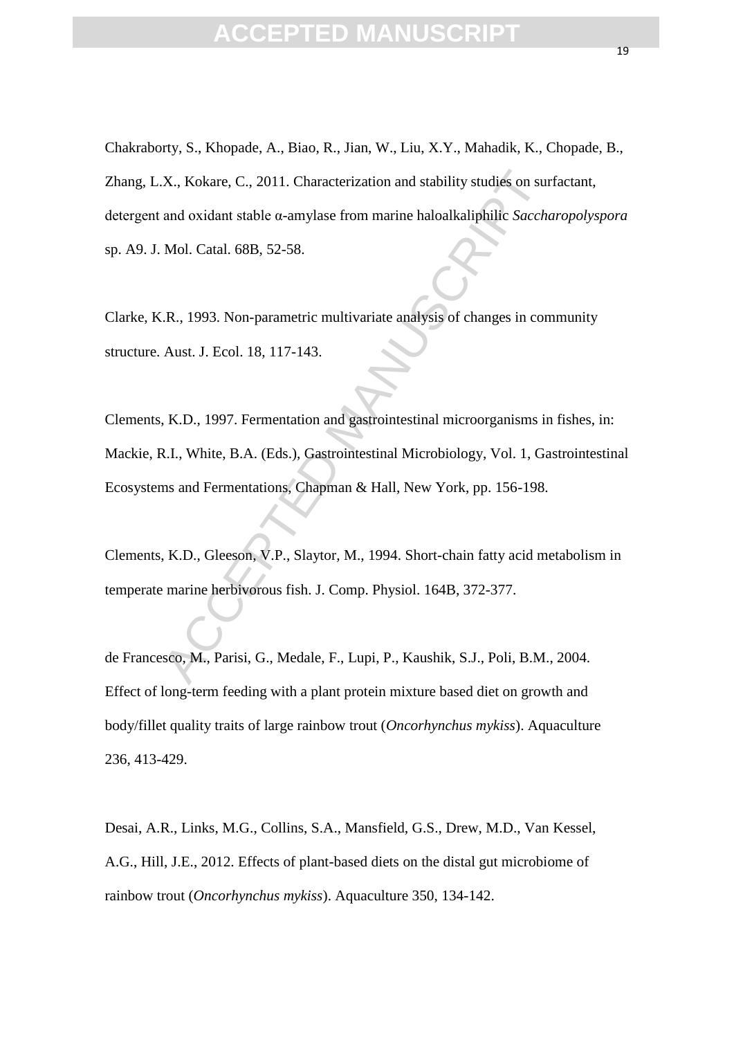X., Kokare, C., 2011. Characterization and stability studies on sur<br>
and oxidant stable  $\alpha$ -amylase from marine haloalkaliphilic *Sacche*<br>
Mol. Catal. 68B, 52-58.<br>
..R., 1993. Non-parametric multivariate analysis of chang Chakraborty, S., Khopade, A., Biao, R., Jian, W., Liu, X.Y., Mahadik, K., Chopade, B., Zhang, L.X., Kokare, C., 2011. Characterization and stability studies on surfactant, detergent and oxidant stable α-amylase from marine haloalkaliphilic *Saccharopolyspora* sp. A9. J. Mol. Catal. 68B, 52-58.

Clarke, K.R., 1993. Non-parametric multivariate analysis of changes in community structure. Aust. J. Ecol. 18, 117-143.

Clements, K.D., 1997. Fermentation and gastrointestinal microorganisms in fishes, in: Mackie, R.I., White, B.A. (Eds.), Gastrointestinal Microbiology, Vol. 1, Gastrointestinal Ecosystems and Fermentations, Chapman & Hall, New York, pp. 156-198.

Clements, K.D., Gleeson, V.P., Slaytor, M., 1994. Short-chain fatty acid metabolism in temperate marine herbivorous fish. J. Comp. Physiol. 164B, 372-377.

de Francesco, M., Parisi, G., Medale, F., Lupi, P., Kaushik, S.J., Poli, B.M., 2004. Effect of long-term feeding with a plant protein mixture based diet on growth and body/fillet quality traits of large rainbow trout (*Oncorhynchus mykiss*). Aquaculture 236, 413-429.

Desai, A.R., Links, M.G., Collins, S.A., Mansfield, G.S., Drew, M.D., Van Kessel, A.G., Hill, J.E., 2012. Effects of plant-based diets on the distal gut microbiome of rainbow trout (*Oncorhynchus mykiss*). Aquaculture 350, 134-142.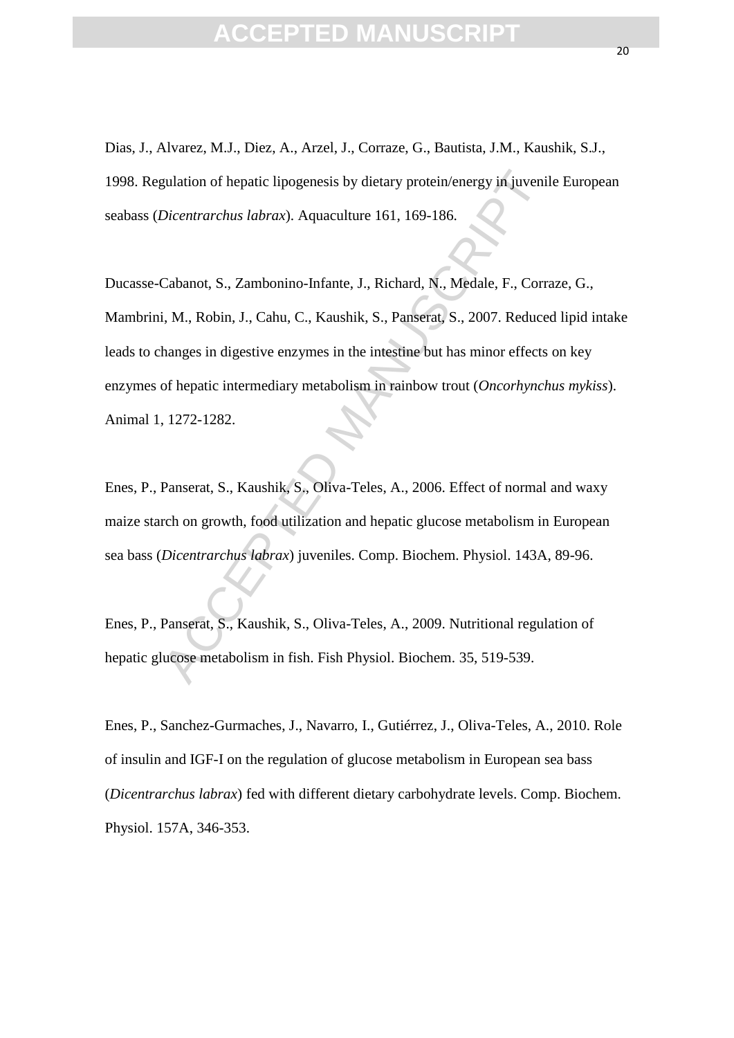Dias, J., Alvarez, M.J., Diez, A., Arzel, J., Corraze, G., Bautista, J.M., Kaushik, S.J., 1998. Regulation of hepatic lipogenesis by dietary protein/energy in juvenile European seabass (*Dicentrarchus labrax*). Aquaculture 161, 169-186.

gulation of hepatic lipogenesis by dietary protein/energy in juvenil<br>Dicentrarchus labrax). Aquaculture 161, 169-186.<br>Cabanot, S., Zambonino-Infante, J., Richard, N., Medale, F., Corra,<br>i, M., Robin, J., Cahu, C., Kaushik, Ducasse-Cabanot, S., Zambonino-Infante, J., Richard, N., Medale, F., Corraze, G., Mambrini, M., Robin, J., Cahu, C., Kaushik, S., Panserat, S., 2007. Reduced lipid intake leads to changes in digestive enzymes in the intestine but has minor effects on key enzymes of hepatic intermediary metabolism in rainbow trout (*Oncorhynchus mykiss*). Animal 1, 1272-1282.

Enes, P., Panserat, S., Kaushik, S., Oliva-Teles, A., 2006. Effect of normal and waxy maize starch on growth, food utilization and hepatic glucose metabolism in European sea bass (*Dicentrarchus labrax*) juveniles. Comp. Biochem. Physiol. 143A, 89-96.

Enes, P., Panserat, S., Kaushik, S., Oliva-Teles, A., 2009. Nutritional regulation of hepatic glucose metabolism in fish. Fish Physiol. Biochem. 35, 519-539.

Enes, P., Sanchez-Gurmaches, J., Navarro, I., Gutiérrez, J., Oliva-Teles, A., 2010. Role of insulin and IGF-I on the regulation of glucose metabolism in European sea bass (*Dicentrarchus labrax*) fed with different dietary carbohydrate levels. Comp. Biochem. Physiol. 157A, 346-353.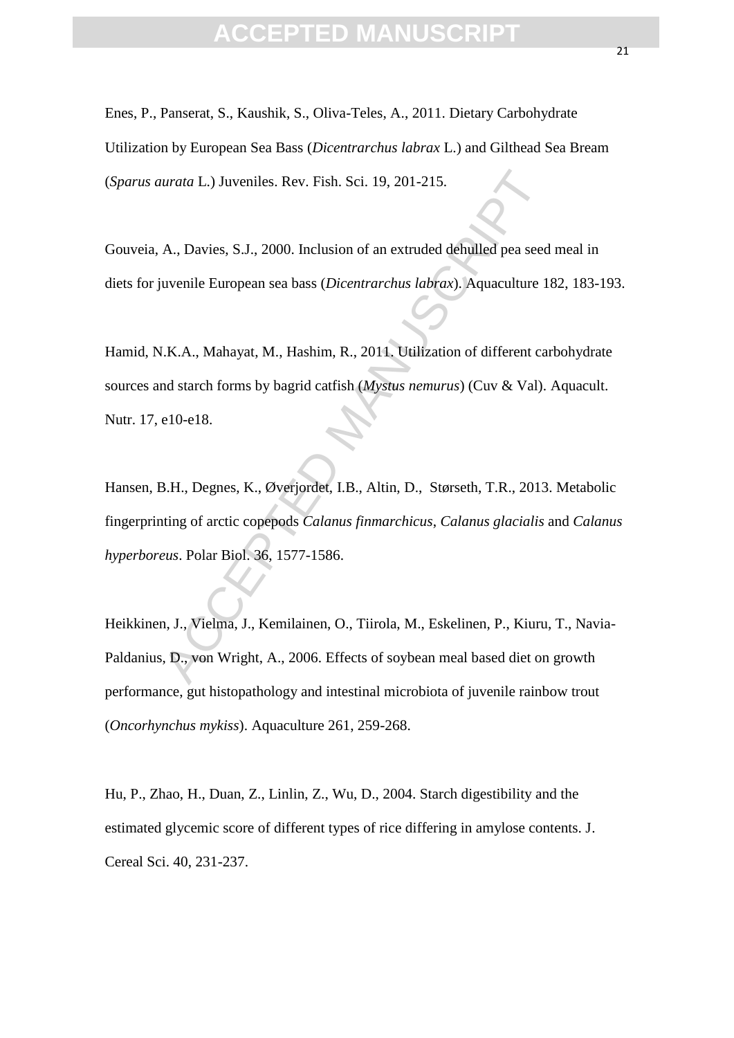Enes, P., Panserat, S., Kaushik, S., Oliva-Teles, A., 2011. Dietary Carbohydrate Utilization by European Sea Bass (*Dicentrarchus labrax* L.) and Gilthead Sea Bream (*Sparus aurata* L.) Juveniles. Rev. Fish. Sci. 19, 201-215.

Gouveia, A., Davies, S.J., 2000. Inclusion of an extruded dehulled pea seed meal in diets for juvenile European sea bass (*Dicentrarchus labrax*). Aquaculture 182, 183-193.

Hamid, N.K.A., Mahayat, M., Hashim, R., 2011. Utilization of different carbohydrate sources and starch forms by bagrid catfish (*Mystus nemurus*) (Cuv & Val). Aquacult. Nutr. 17, e10-e18.

urata L.) Juveniles. Rev. Fish. Sci. 19, 201-215.<br>
A., Davies, S.J., 2000. Inclusion of an extruded dehulled pea seed<br>
uvenile European sea bass (*Dicentrarchus labrax*). Aquaculture 1<br>
1.K.A., Mahayat, M., Hashim, R., 201 Hansen, B.H., Degnes, K., Øverjordet, I.B., Altin, D., Størseth, T.R., 2013. Metabolic fingerprinting of arctic copepods *Calanus finmarchicus*, *Calanus glacialis* and *Calanus hyperboreus*. Polar Biol. 36, 1577-1586.

Heikkinen, J., Vielma, J., Kemilainen, O., Tiirola, M., Eskelinen, P., Kiuru, T., Navia-Paldanius, D., von Wright, A., 2006. Effects of soybean meal based diet on growth performance, gut histopathology and intestinal microbiota of juvenile rainbow trout (*Oncorhynchus mykiss*). Aquaculture 261, 259-268.

Hu, P., Zhao, H., Duan, Z., Linlin, Z., Wu, D., 2004. Starch digestibility and the estimated glycemic score of different types of rice differing in amylose contents. J. Cereal Sci. 40, 231-237.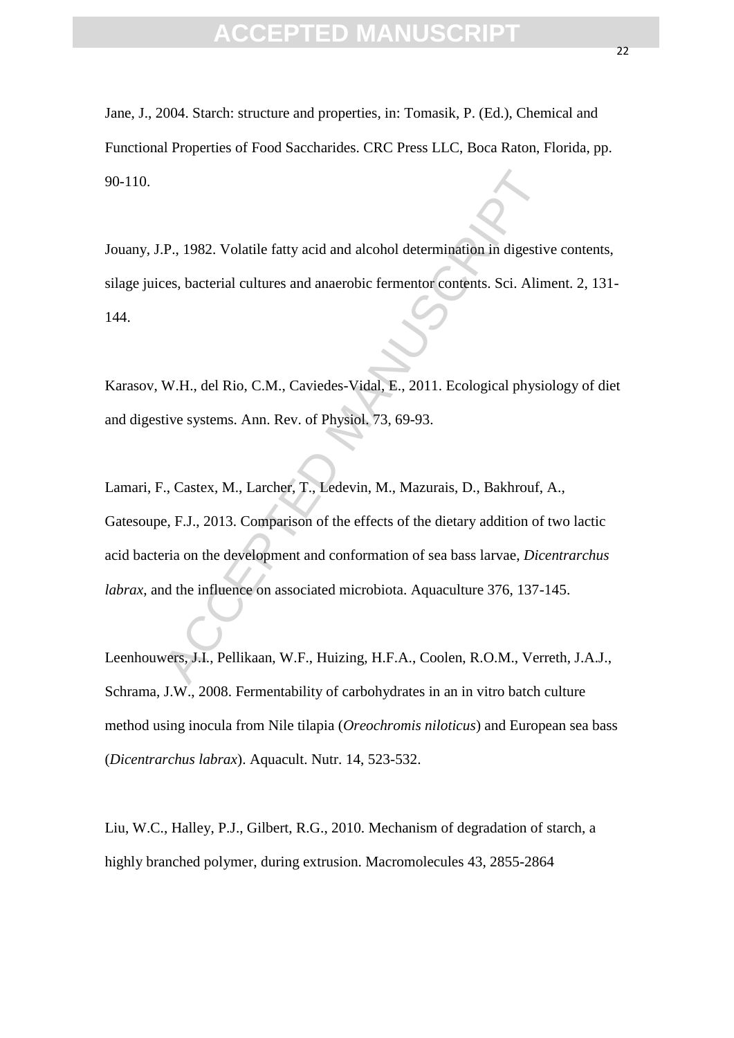Jane, J., 2004. Starch: structure and properties, in: Tomasik, P. (Ed.), Chemical and Functional Properties of Food Saccharides. CRC Press LLC, Boca Raton, Florida, pp. 90-110.

Jouany, J.P., 1982. Volatile fatty acid and alcohol determination in digestive contents, silage juices, bacterial cultures and anaerobic fermentor contents. Sci. Aliment. 2, 131- 144.

Karasov, W.H., del Rio, C.M., Caviedes-Vidal, E., 2011. Ecological physiology of diet and digestive systems. Ann. Rev. of Physiol. 73, 69-93.

P., 1982. Volatile fatty acid and alcohol determination in digestive<br>ces, bacterial cultures and anaerobic fermentor contents. Sci. Alim<br>W.H., del Rio, C.M., Caviedes-Vidal, E., 2011. Ecological physic<br>tive systems. Ann. R Lamari, F., Castex, M., Larcher, T., Ledevin, M., Mazurais, D., Bakhrouf, A., Gatesoupe, F.J., 2013. Comparison of the effects of the dietary addition of two lactic acid bacteria on the development and conformation of sea bass larvae, *Dicentrarchus labrax*, and the influence on associated microbiota. Aquaculture 376, 137-145.

Leenhouwers, J.I., Pellikaan, W.F., Huizing, H.F.A., Coolen, R.O.M., Verreth, J.A.J., Schrama, J.W., 2008. Fermentability of carbohydrates in an in vitro batch culture method using inocula from Nile tilapia (*Oreochromis niloticus*) and European sea bass (*Dicentrarchus labrax*). Aquacult. Nutr. 14, 523-532.

Liu, W.C., Halley, P.J., Gilbert, R.G., 2010. Mechanism of degradation of starch, a highly branched polymer, during extrusion. Macromolecules 43, 2855-2864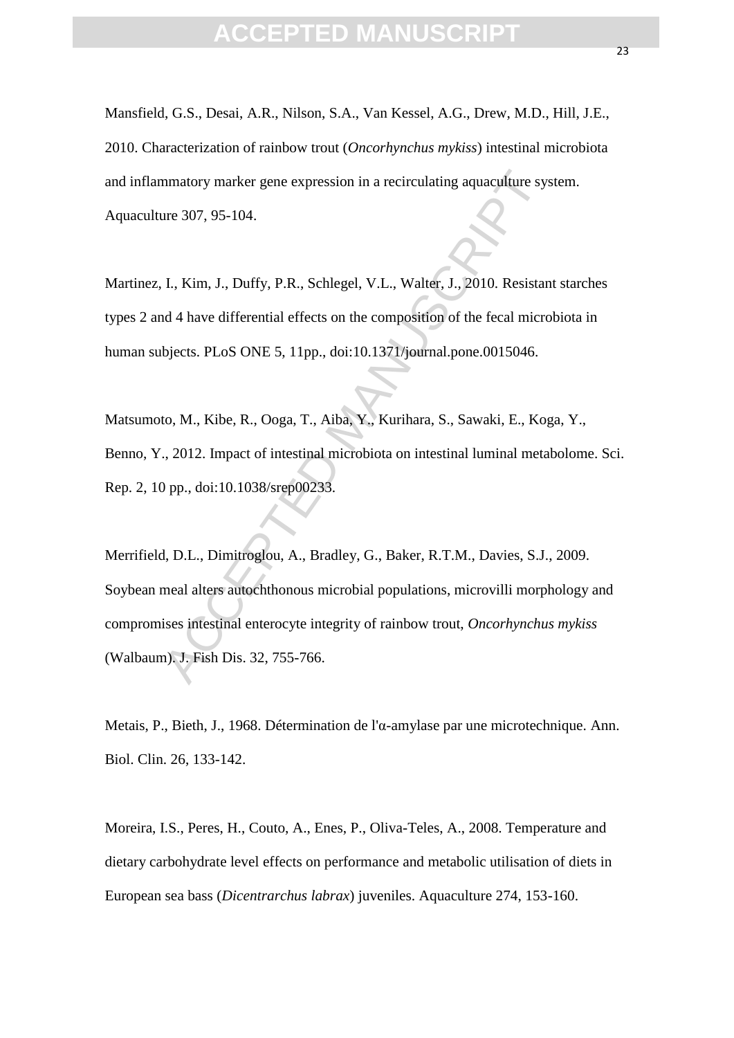### **CEPTED MANUS**

Mansfield, G.S., Desai, A.R., Nilson, S.A., Van Kessel, A.G., Drew, M.D., Hill, J.E., 2010. Characterization of rainbow trout (*Oncorhynchus mykiss*) intestinal microbiota and inflammatory marker gene expression in a recirculating aquaculture system. Aquaculture 307, 95-104.

Martinez, I., Kim, J., Duffy, P.R., Schlegel, V.L., Walter, J., 2010. Resistant starches types 2 and 4 have differential effects on the composition of the fecal microbiota in human subjects. PLoS ONE 5, 11pp., doi:10.1371/journal.pone.0015046.

Matsumoto, M., Kibe, R., Ooga, T., Aiba, Y., Kurihara, S., Sawaki, E., Koga, Y., Benno, Y., 2012. Impact of intestinal microbiota on intestinal luminal metabolome. Sci. Rep. 2, 10 pp., doi:10.1038/srep00233.

mmatory marker gene expression in a recirculating aquaculture sy-<br>
ure 307, 95-104.<br>
I., Kim, J., Duffy, P.R., Schlegel, V.L., Walter, J., 2010. Resistan<br>
d 4 have differential effects on the composition of the fecal micro Merrifield, D.L., Dimitroglou, A., Bradley, G., Baker, R.T.M., Davies, S.J., 2009. Soybean meal alters autochthonous microbial populations, microvilli morphology and compromises intestinal enterocyte integrity of rainbow trout, *Oncorhynchus mykiss* (Walbaum). J. Fish Dis. 32, 755-766.

Metais, P., Bieth, J., 1968. Détermination de l'α-amylase par une microtechnique. Ann. Biol. Clin. 26, 133-142.

Moreira, I.S., Peres, H., Couto, A., Enes, P., Oliva-Teles, A., 2008. Temperature and dietary carbohydrate level effects on performance and metabolic utilisation of diets in European sea bass (*Dicentrarchus labrax*) juveniles. Aquaculture 274, 153-160.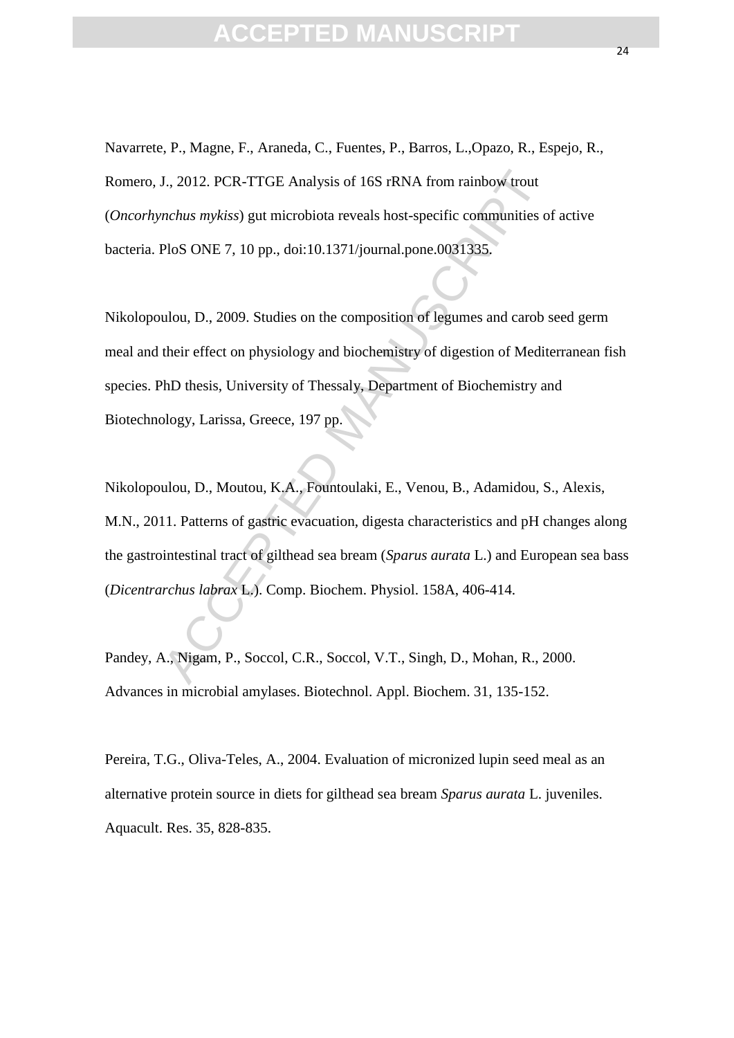## **EPTED MANU**

Navarrete, P., Magne, F., Araneda, C., Fuentes, P., Barros, L.,Opazo, R., Espejo, R., Romero, J., 2012. PCR-TTGE Analysis of 16S rRNA from rainbow trout (*Oncorhynchus mykiss*) gut microbiota reveals host-specific communities of active bacteria. PloS ONE 7, 10 pp., doi:10.1371/journal.pone.0031335.

Nikolopoulou, D., 2009. Studies on the composition of legumes and carob seed germ meal and their effect on physiology and biochemistry of digestion of Mediterranean fish species. PhD thesis, University of Thessaly, Department of Biochemistry and Biotechnology, Larissa, Greece, 197 pp.

J., 2012. PCR-TTGE Analysis of 16S rRNA from rainbow trout<br>
mchus mykiss) gut microbiota reveals host-specific communities o<br>
PloS ONE 7, 10 pp., doi:10.1371/journal.pone.0031335.<br>
ulou, D., 2009. Studies on the compositio Nikolopoulou, D., Moutou, K.A., Fountoulaki, E., Venou, B., Adamidou, S., Alexis, M.N., 2011. Patterns of gastric evacuation, digesta characteristics and pH changes along the gastrointestinal tract of gilthead sea bream (*Sparus aurata* L.) and European sea bass (*Dicentrarchus labrax* L.). Comp. Biochem. Physiol. 158A, 406-414.

Pandey, A., Nigam, P., Soccol, C.R., Soccol, V.T., Singh, D., Mohan, R., 2000. Advances in microbial amylases. Biotechnol. Appl. Biochem. 31, 135-152.

Pereira, T.G., Oliva-Teles, A., 2004. Evaluation of micronized lupin seed meal as an alternative protein source in diets for gilthead sea bream *Sparus aurata* L. juveniles. Aquacult. Res. 35, 828-835.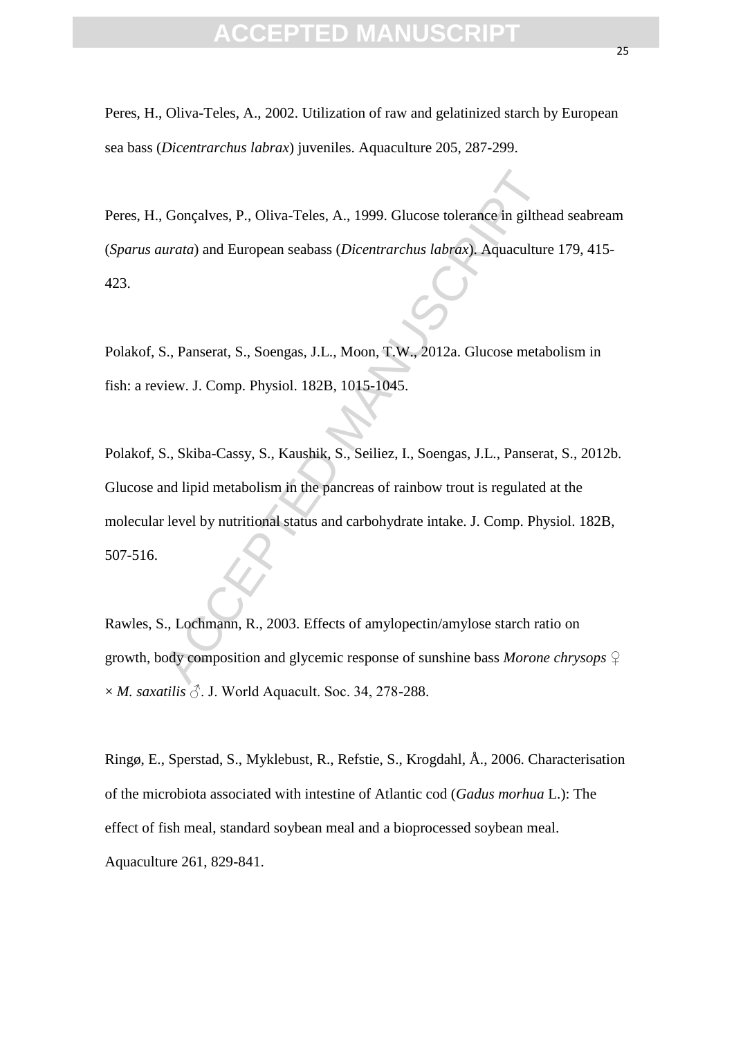### FPTFD MANU

Peres, H., Oliva-Teles, A., 2002. Utilization of raw and gelatinized starch by European sea bass (*Dicentrarchus labrax*) juveniles. Aquaculture 205, 287-299.

Peres, H., Gonçalves, P., Oliva-Teles, A., 1999. Glucose tolerance in gilthead seabream (*Sparus aurata*) and European seabass (*Dicentrarchus labrax*). Aquaculture 179, 415- 423.

Polakof, S., Panserat, S., Soengas, J.L., Moon, T.W., 2012a. Glucose metabolism in fish: a review. J. Comp. Physiol. 182B, 1015-1045.

Gonçalves, P., Oliva-Teles, A., 1999. Glucose tolerance in gilthe<br>
urata) and European seabass (*Dicentrarchus labrax*). Aquaculture<br>
S., Panserat, S., Soengas, J.L., Moon, T.W., 2012a. Glucose metat<br>
iew. J. Comp. Physiol Polakof, S., Skiba-Cassy, S., Kaushik, S., Seiliez, I., Soengas, J.L., Panserat, S., 2012b. Glucose and lipid metabolism in the pancreas of rainbow trout is regulated at the molecular level by nutritional status and carbohydrate intake. J. Comp. Physiol. 182B, 507-516.

Rawles, S., Lochmann, R., 2003. Effects of amylopectin/amylose starch ratio on growth, body composition and glycemic response of sunshine bass *Morone chrysops* ♀  $\times$  *M. saxatilis*  $\Diamond$ . J. World Aquacult. Soc. 34, 278-288.

Ringø, E., Sperstad, S., Myklebust, R., Refstie, S., Krogdahl, Å., 2006. Characterisation of the microbiota associated with intestine of Atlantic cod (*Gadus morhua* L.): The effect of fish meal, standard soybean meal and a bioprocessed soybean meal. Aquaculture 261, 829-841.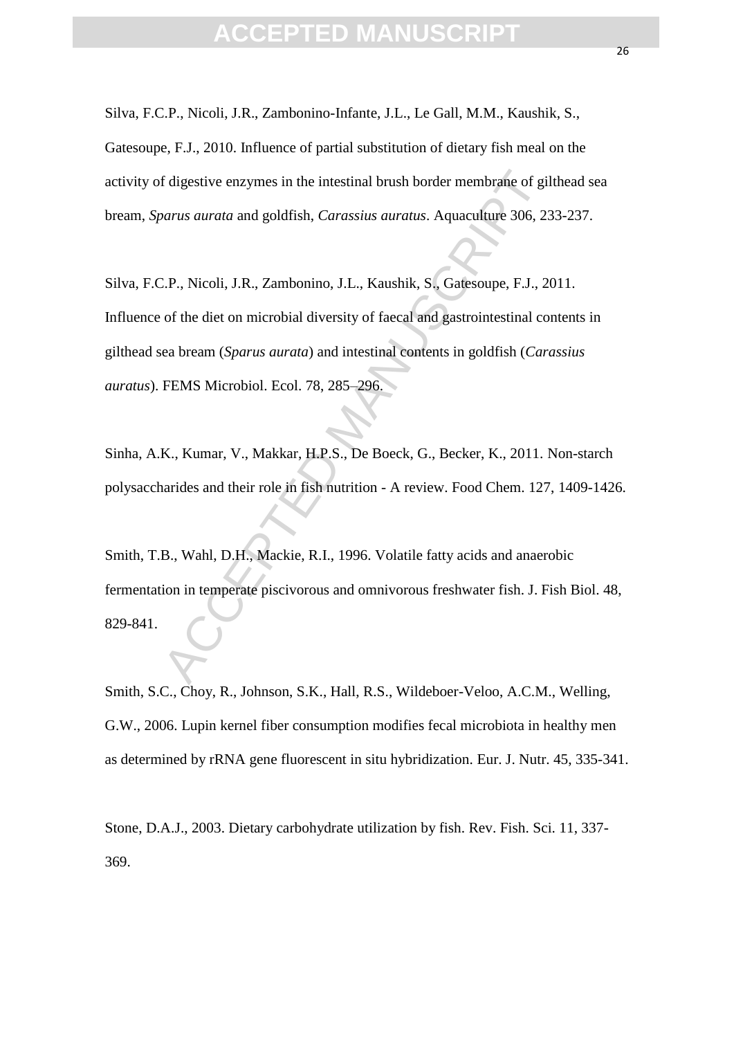# **FPTED MANUS**

Silva, F.C.P., Nicoli, J.R., Zambonino-Infante, J.L., Le Gall, M.M., Kaushik, S., Gatesoupe, F.J., 2010. Influence of partial substitution of dietary fish meal on the activity of digestive enzymes in the intestinal brush border membrane of gilthead sea bream, *Sparus aurata* and goldfish, *Carassius auratus*. Aquaculture 306, 233-237.

dial division and goldfish, *Carassius auratus*. Aquaculture 306, 2:<br>
2. P., Nicoli, J.R., Zambonino, J.L., Kaushik, S., Gatesoupe, F.J., 2<br>
2. P., Nicoli, J.R., Zambonino, J.L., Kaushik, S., Gatesoupe, F.J., 2<br>
4. of the Silva, F.C.P., Nicoli, J.R., Zambonino, J.L., Kaushik, S., Gatesoupe, F.J., 2011. Influence of the diet on microbial diversity of faecal and gastrointestinal contents in gilthead sea bream (*Sparus aurata*) and intestinal contents in goldfish (*Carassius auratus*). FEMS Microbiol. Ecol. 78, 285–296.

Sinha, A.K., Kumar, V., Makkar, H.P.S., De Boeck, G., Becker, K., 2011. Non-starch polysaccharides and their role in fish nutrition - A review. Food Chem. 127, 1409-1426.

Smith, T.B., Wahl, D.H., Mackie, R.I., 1996. Volatile fatty acids and anaerobic fermentation in temperate piscivorous and omnivorous freshwater fish. J. Fish Biol. 48, 829-841.

Smith, S.C., Choy, R., Johnson, S.K., Hall, R.S., Wildeboer-Veloo, A.C.M., Welling, G.W., 2006. Lupin kernel fiber consumption modifies fecal microbiota in healthy men as determined by rRNA gene fluorescent in situ hybridization. Eur. J. Nutr. 45, 335-341.

Stone, D.A.J., 2003. Dietary carbohydrate utilization by fish. Rev. Fish. Sci. 11, 337- 369.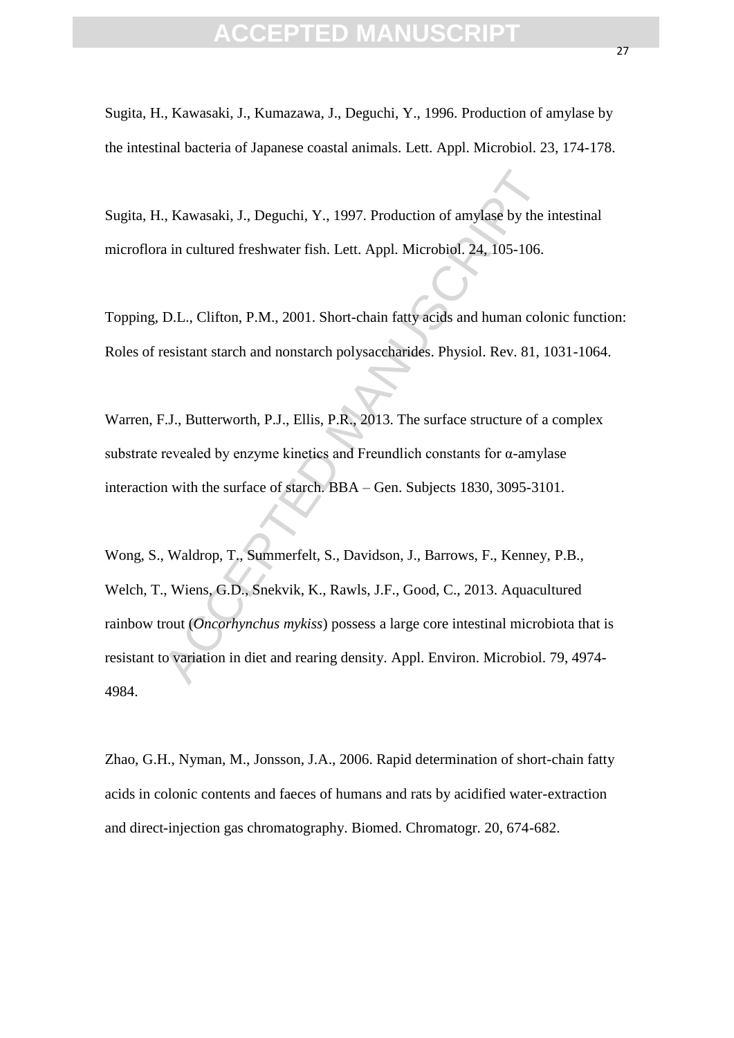Sugita, H., Kawasaki, J., Kumazawa, J., Deguchi, Y., 1996. Production of amylase by the intestinal bacteria of Japanese coastal animals. Lett. Appl. Microbiol. 23, 174-178.

Sugita, H., Kawasaki, J., Deguchi, Y., 1997. Production of amylase by the intestinal microflora in cultured freshwater fish. Lett. Appl. Microbiol. 24, 105-106.

Topping, D.L., Clifton, P.M., 2001. Short-chain fatty acids and human colonic function: Roles of resistant starch and nonstarch polysaccharides. Physiol. Rev. 81, 1031-1064.

Warren, F.J., Butterworth, P.J., Ellis, P.R., 2013. The surface structure of a complex substrate revealed by enzyme kinetics and Freundlich constants for  $\alpha$ -amylase interaction with the surface of starch. BBA – Gen. Subjects 1830, 3095-3101.

S. Kawasaki, J., Deguchi, Y., 1997. Production of amylase by the interaction of reshwater fish. Lett. Appl. Microbiol. 24, 105-106.<br>
D.L., Clifton, P.M., 2001. Short-chain fatty acids and human coloresistant starch and non Wong, S., Waldrop, T., Summerfelt, S., Davidson, J., Barrows, F., Kenney, P.B., Welch, T., Wiens, G.D., Snekvik, K., Rawls, J.F., Good, C., 2013. Aquacultured rainbow trout (*Oncorhynchus mykiss*) possess a large core intestinal microbiota that is resistant to variation in diet and rearing density. Appl. Environ. Microbiol. 79, 4974- 4984.

Zhao, G.H., Nyman, M., Jonsson, J.A., 2006. Rapid determination of short-chain fatty acids in colonic contents and faeces of humans and rats by acidified water-extraction and direct-injection gas chromatography. Biomed. Chromatogr. 20, 674-682.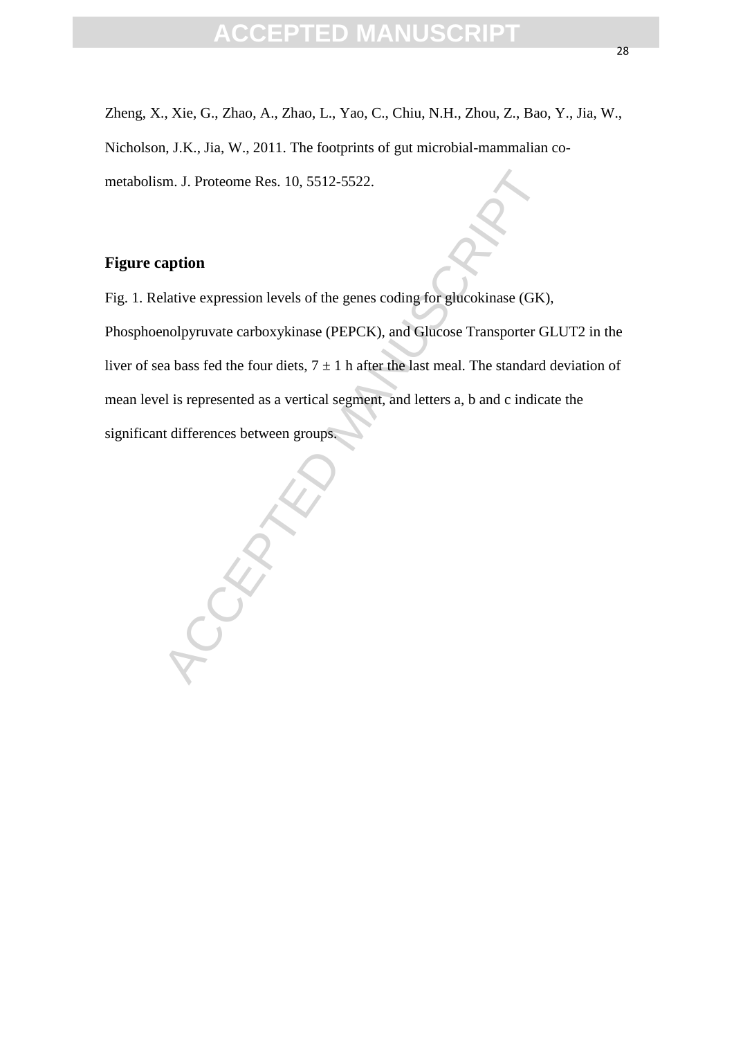Zheng, X., Xie, G., Zhao, A., Zhao, L., Yao, C., Chiu, N.H., Zhou, Z., Bao, Y., Jia, W., Nicholson, J.K., Jia, W., 2011. The footprints of gut microbial-mammalian cometabolism. J. Proteome Res. 10, 5512-5522.

### **Figure caption**

Fig. 1. Relative expression levels of the genes coding for glucokinase (GK), Phosphoenolpyruvate carboxykinase (PEPCK), and Glucose Transporter GLUT2 in the liver of sea bass fed the four diets,  $7 \pm 1$  h after the last meal. The standard deviation of mean level is represented as a vertical segment, and letters a, b and c indicate the significant differences between groups.

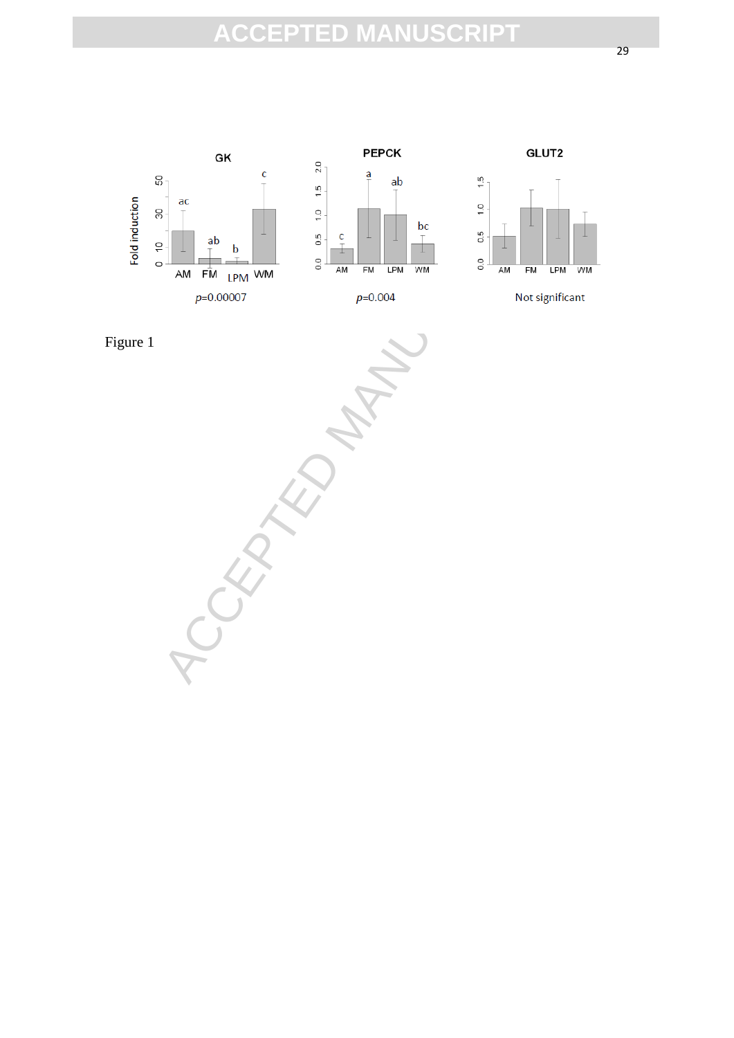

 $\frac{1}{\frac{1}{2}}$ <br>  $\frac{1}{\frac{1}{2}}$ <br>  $\frac{1}{\frac{1}{2}}$ <br>  $\frac{1}{\frac{1}{2}}$ <br>  $\frac{1}{\frac{1}{2}}$ <br>  $\frac{1}{\frac{1}{2}}$ <br>  $\frac{1}{\frac{1}{2}}$ <br>  $\frac{1}{\frac{1}{2}}$ <br>  $\frac{1}{\frac{1}{2}}$ <br>  $\frac{1}{\frac{1}{2}}$ <br>  $\frac{1}{\frac{1}{2}}$ <br>  $\frac{1}{\frac{1}{2}}$ <br>  $\frac{1}{\frac{1}{2}}$ <br>  $\frac{1}{\frac{1}{2}}$ Figure 1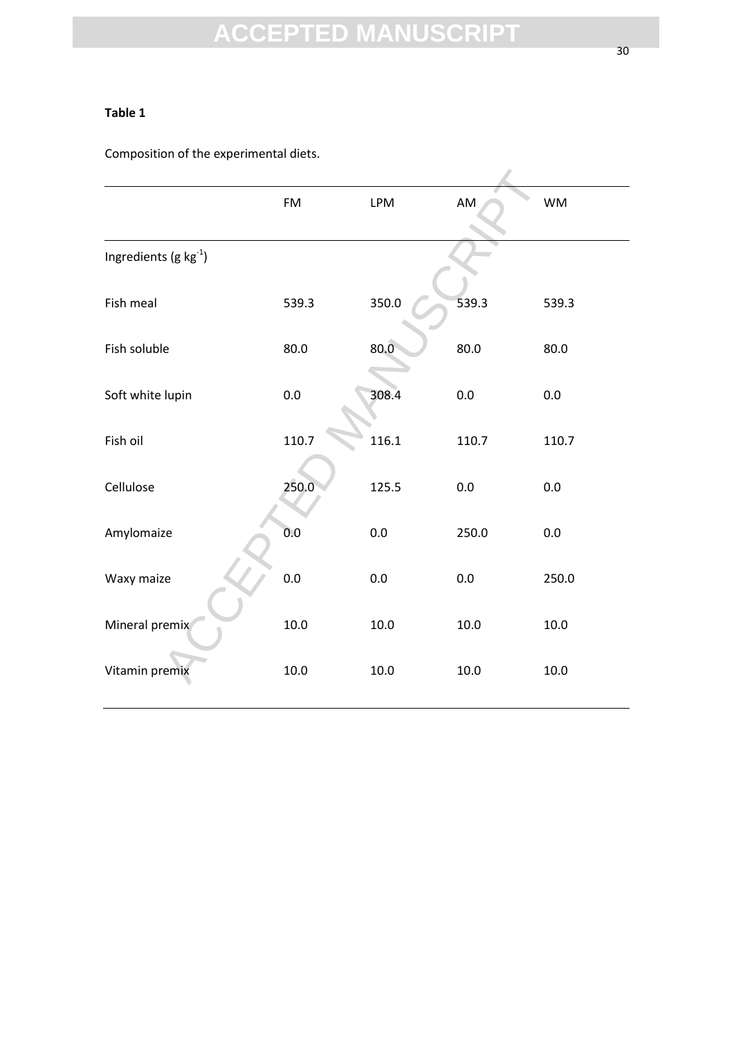#### **Table 1**

Composition of the experimental diets.

|                                   | FM      | <b>LPM</b> | AM      | <b>WM</b> |
|-----------------------------------|---------|------------|---------|-----------|
| Ingredients (g kg <sup>-1</sup> ) |         |            |         |           |
| Fish meal                         | 539.3   | 350.0      | 539.3   | 539.3     |
| Fish soluble                      | 80.0    | 80.0       | 80.0    | 80.0      |
| Soft white lupin                  | 0.0     | 308.4      | 0.0     | 0.0       |
| Fish oil                          | 110.7   | 116.1      | 110.7   | 110.7     |
| Cellulose                         | 250.0   | 125.5      | 0.0     | 0.0       |
| Amylomaize                        | 0.0     | 0.0        | 250.0   | 0.0       |
| Waxy maize                        | $0.0\,$ | $0.0\,$    | $0.0\,$ | 250.0     |
| Mineral premix                    | 10.0    | 10.0       | 10.0    | 10.0      |
| Vitamin premix                    | 10.0    | 10.0       | 10.0    | 10.0      |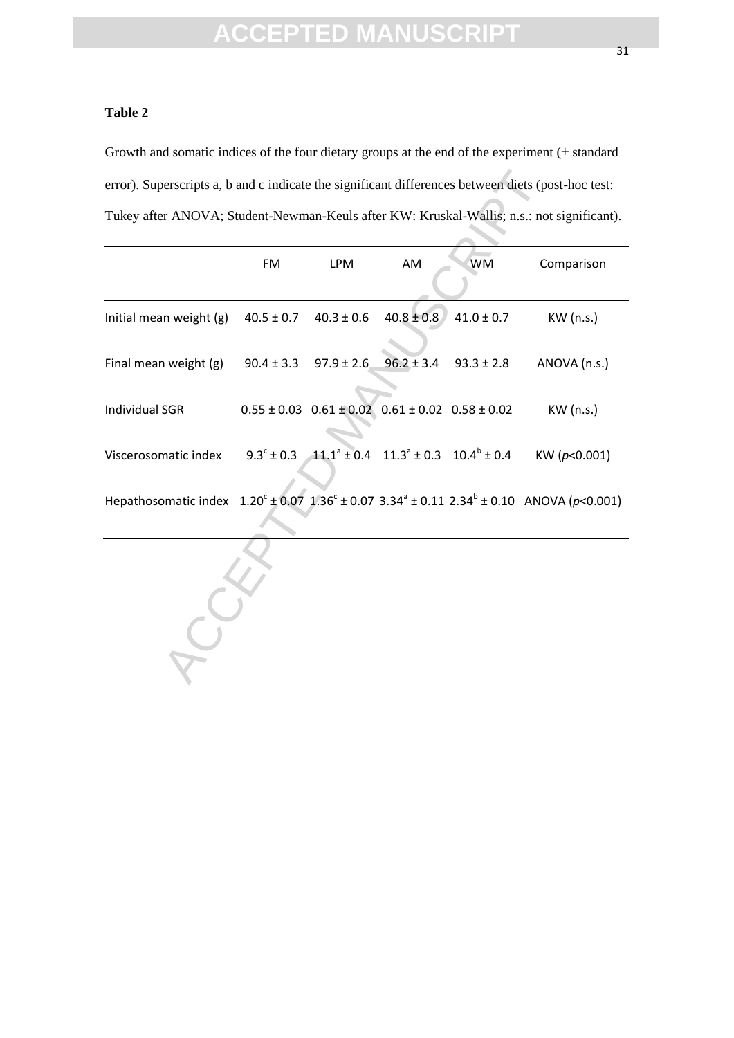#### **Table 2**

Growth and somatic indices of the four dietary groups at the end of the experiment  $(±$  standard error). Superscripts a, b and c indicate the significant differences between diets (post-hoc test: Tukey after ANOVA; Student-Newman-Keuls after KW: Kruskal-Wallis; n.s.: not significant).

|                                                                                                                                      | <b>FM</b>      | <b>LPM</b>     | AM                                                                                         | <b>WM</b>      | Comparison       |
|--------------------------------------------------------------------------------------------------------------------------------------|----------------|----------------|--------------------------------------------------------------------------------------------|----------------|------------------|
| Initial mean weight (g)                                                                                                              | $40.5 \pm 0.7$ | $40.3 \pm 0.6$ | $40.8 \pm 0.8$                                                                             | $41.0 \pm 0.7$ | KW (n.s.)        |
| Final mean weight (g)                                                                                                                | $90.4 \pm 3.3$ | $97.9 \pm 2.6$ | $96.2 \pm 3.4$                                                                             | $93.3 \pm 2.8$ | ANOVA (n.s.)     |
| <b>Individual SGR</b>                                                                                                                |                |                | $0.55 \pm 0.03$ $0.61 \pm 0.02$ $0.61 \pm 0.02$ $0.58 \pm 0.02$                            |                | KW (n.s.)        |
| Viscerosomatic index                                                                                                                 |                |                | $9.3^{\circ} \pm 0.3$ $11.1^{\circ} \pm 0.4$ $11.3^{\circ} \pm 0.3$ $10.4^{\circ} \pm 0.4$ |                | KW ( $p<0.001$ ) |
| Hepathosomatic index $1.20^{\circ} \pm 0.07$ $1.36^{\circ} \pm 0.07$ $3.34^{\circ} \pm 0.11$ $2.34^{\circ} \pm 0.10$ ANOVA (p<0.001) |                |                |                                                                                            |                |                  |
|                                                                                                                                      |                |                |                                                                                            |                |                  |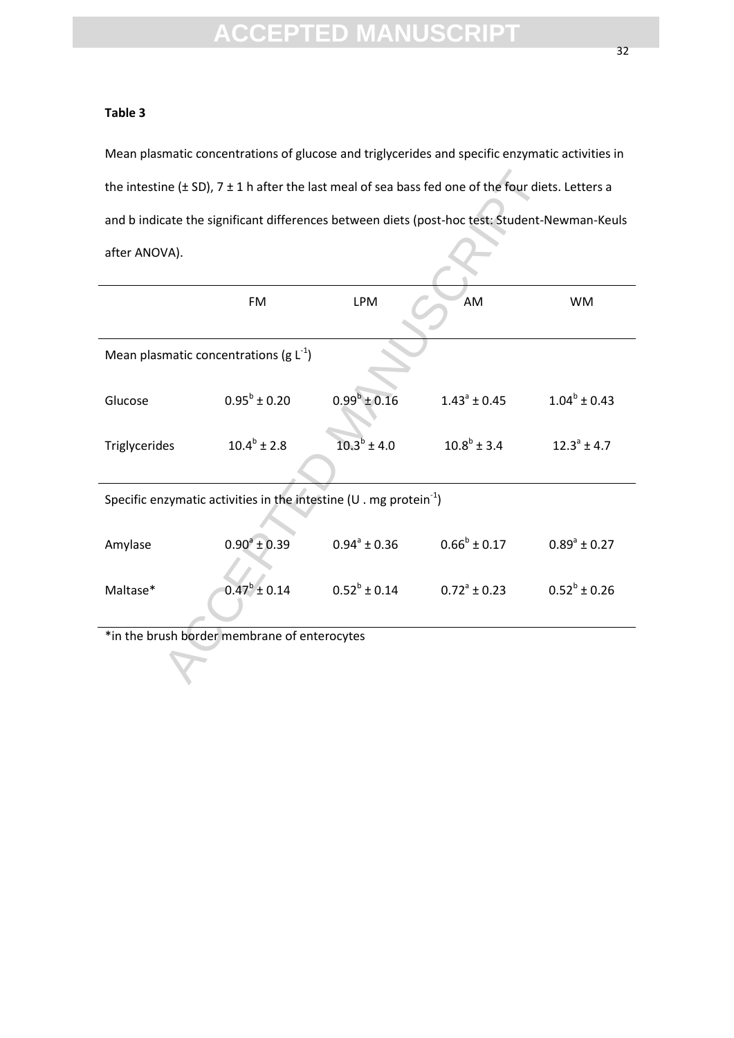#### **Table 3**

Mean plasmatic concentrations of glucose and triglycerides and specific enzymatic activities in the intestine (± SD), 7 ± 1 h after the last meal of sea bass fed one of the four diets. Letters a and b indicate the significant differences between diets (post-hoc test: Student-Newman-Keuls after ANOVA).

| the intestine ( $\pm$ SD), 7 $\pm$ 1 h after the last meal of sea bass fed one of the four diets. Letters a |                   |                         |                         |                         |
|-------------------------------------------------------------------------------------------------------------|-------------------|-------------------------|-------------------------|-------------------------|
| and b indicate the significant differences between diets (post-hoc test: Student-Newman-Keuls               |                   |                         |                         |                         |
| after ANOVA).                                                                                               |                   |                         |                         |                         |
|                                                                                                             | <b>FM</b>         | <b>LPM</b>              | AM                      | <b>WM</b>               |
| Mean plasmatic concentrations (g $L^{-1}$ )                                                                 |                   |                         |                         |                         |
| Glucose                                                                                                     | $0.95^b \pm 0.20$ | $0.99^b \pm 0.16$       | $1.43^{\circ} \pm 0.45$ | $1.04^b \pm 0.43$       |
| Triglycerides                                                                                               | $10.4^b \pm 2.8$  | $10.3^b \pm 4.0$        | $10.8^b \pm 3.4$        | $12.3^{\circ}$ ± 4.7    |
| Specific enzymatic activities in the intestine (U . mg protein $^{-1}$ )                                    |                   |                         |                         |                         |
| Amylase                                                                                                     | $0.90^a \pm 0.39$ | $0.94^{\circ} \pm 0.36$ | $0.66^b \pm 0.17$       | $0.89^{\circ} \pm 0.27$ |
| Maltase*                                                                                                    | $0.47^b \pm 0.14$ | $0.52^b \pm 0.14$       | $0.72^a \pm 0.23$       | $0.52^b \pm 0.26$       |
| *in the brush border membrane of enterocytes                                                                |                   |                         |                         |                         |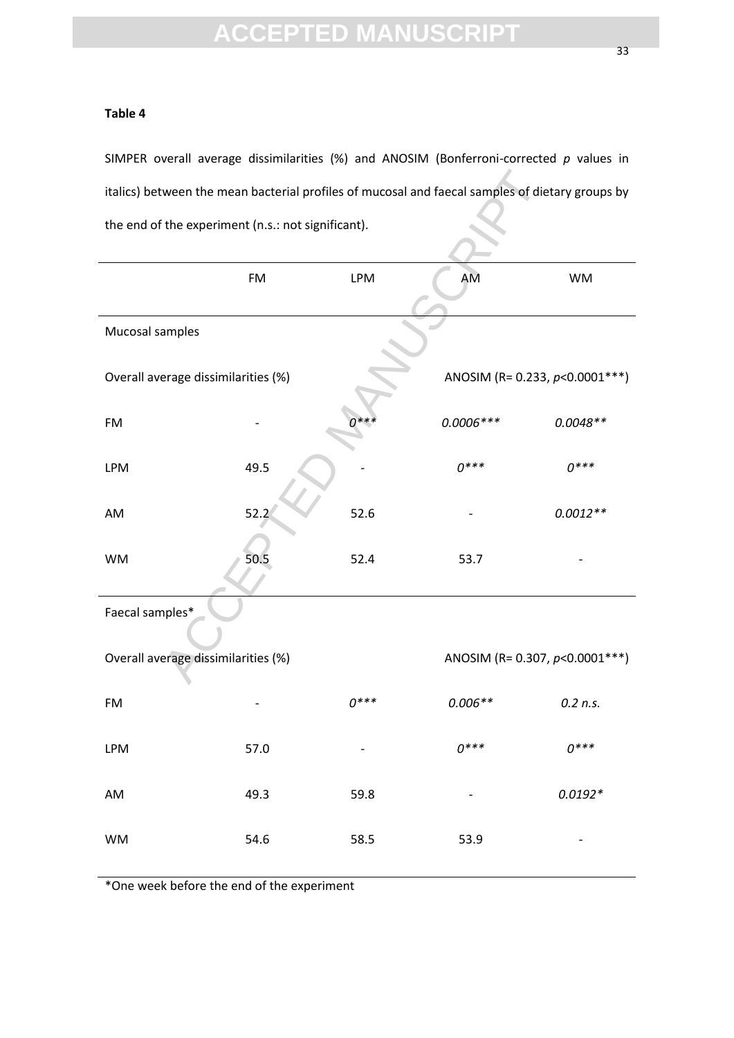#### **Table 4**

SIMPER overall average dissimilarities (%) and ANOSIM (Bonferroni-corrected *p* values in italics) between the mean bacterial profiles of mucosal and faecal samples of dietary groups by the end of the experiment (n.s.: not significant).

| italics) between the mean bacterial profiles of mucosal and faecal samples of dietary groups by |      |            |                                   |            |
|-------------------------------------------------------------------------------------------------|------|------------|-----------------------------------|------------|
| the end of the experiment (n.s.: not significant).                                              |      |            |                                   |            |
|                                                                                                 |      |            |                                   |            |
|                                                                                                 | FM   | <b>LPM</b> | AM                                | <b>WM</b>  |
|                                                                                                 |      |            |                                   |            |
| Mucosal samples                                                                                 |      |            |                                   |            |
| Overall average dissimilarities (%)                                                             |      |            | ANOSIM (R= 0.233, $p$ <0.0001***) |            |
| <b>FM</b>                                                                                       |      |            | $0.0006***$                       | $0.0048**$ |
| <b>LPM</b>                                                                                      | 49.5 |            | $0***$                            | $0***$     |
| AM                                                                                              | 52.2 | 52.6       |                                   | $0.0012**$ |
| <b>WM</b>                                                                                       | 50.5 | 52.4       | 53.7                              |            |
| Faecal samples*                                                                                 |      |            |                                   |            |
| Overall average dissimilarities (%)                                                             |      |            | ANOSIM (R= 0.307, $p<0.0001***$ ) |            |
| <b>FM</b>                                                                                       |      | $0***$     | $0.006**$                         | $0.2$ n.s. |
| <b>LPM</b>                                                                                      | 57.0 |            | $0***$                            | $0***$     |
| AM                                                                                              | 49.3 | 59.8       |                                   | $0.0192*$  |
| <b>WM</b>                                                                                       | 54.6 | 58.5       | 53.9                              |            |

\*One week before the end of the experiment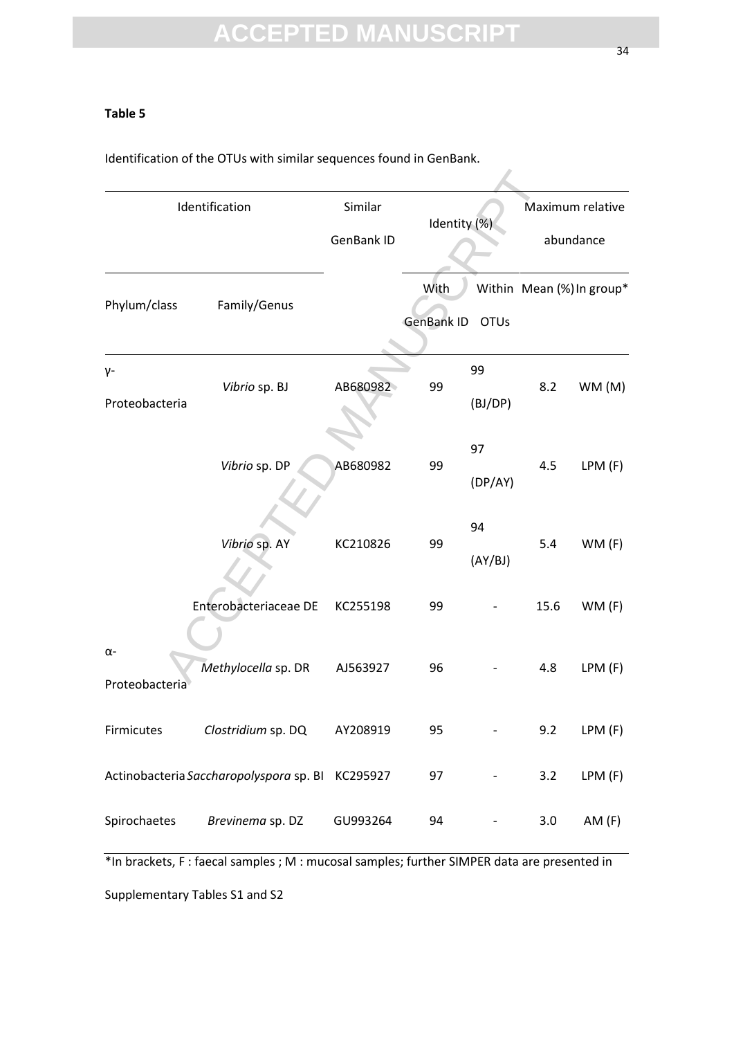#### **Table 5**

Identification of the OTUs with similar sequences found in GenBank.

| Identification               |                                                  | Similar<br>GenBank ID | Identity (%)              |               | Maximum relative<br>abundance |                           |
|------------------------------|--------------------------------------------------|-----------------------|---------------------------|---------------|-------------------------------|---------------------------|
| Phylum/class                 | Family/Genus                                     |                       | With<br><b>GenBank ID</b> | <b>OTUs</b>   |                               | Within Mean (%) In group* |
| γ-<br>Proteobacteria         | Vibrio sp. BJ                                    | AB680982              | 99                        | 99<br>(BJ/DP) | 8.2                           | WM (M)                    |
|                              | Vibrio sp. DP                                    | AB680982              | 99                        | 97<br>(DP/AY) | 4.5                           | LPM(F)                    |
|                              | Vibrio sp. AY                                    | KC210826              | 99                        | 94<br>(AY/BJ) | 5.4                           | WM(F)                     |
|                              | Enterobacteriaceae DE                            | KC255198              | 99                        |               | 15.6                          | WM(F)                     |
| $\alpha$ -<br>Proteobacteria | Methylocella sp. DR                              | AJ563927              | 96                        |               | 4.8                           | LPM (F)                   |
| Firmicutes                   | Clostridium sp. DQ                               | AY208919              | 95                        |               | 9.2                           | LPM(F)                    |
|                              | Actinobacteria Saccharopolyspora sp. BI KC295927 |                       | 97                        |               | 3.2                           | LPM (F)                   |
| Spirochaetes                 | Brevinema sp. DZ                                 | GU993264              | 94                        |               | 3.0                           | AM(F)                     |

\*In brackets, F : faecal samples ; M : mucosal samples; further SIMPER data are presented in Supplementary Tables S1 and S2